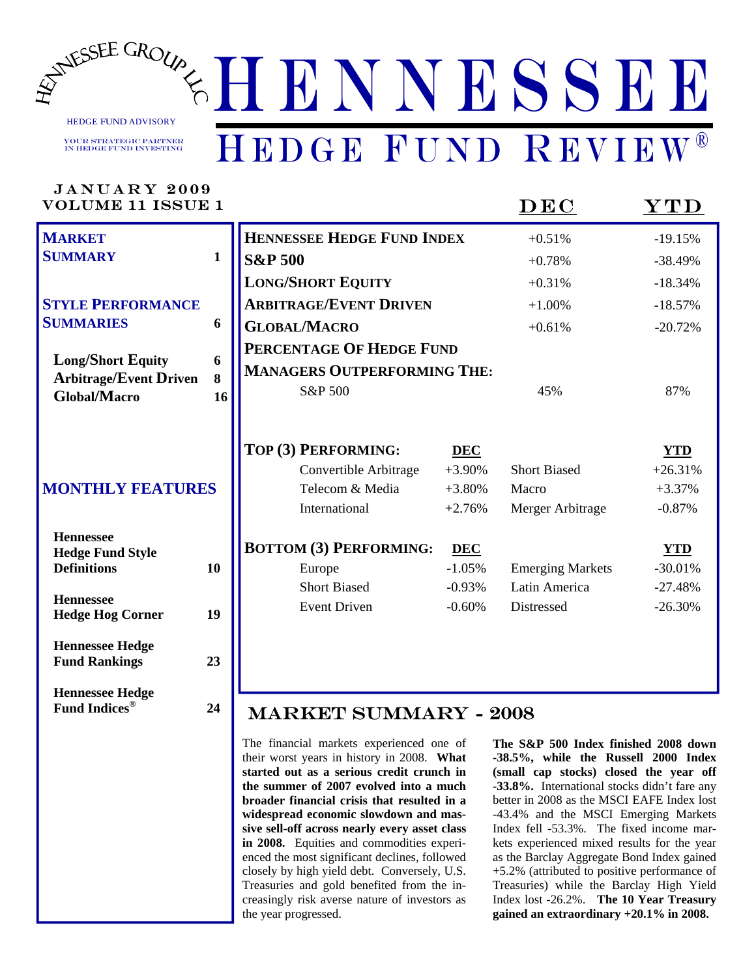

Your Strategic Partner in Hedge Fund Investing

MILA D.V. 9000

# HEDGE FUND REVIEW®

| JAN UAR 1–4009<br><b>VOLUME 11 ISSUE 1</b>                                                                                                  |              |                                                                                                                                                                           |                                                                                                  | DEC                                                                                                        | $\bold{YTD}$                                                                                         |
|---------------------------------------------------------------------------------------------------------------------------------------------|--------------|---------------------------------------------------------------------------------------------------------------------------------------------------------------------------|--------------------------------------------------------------------------------------------------|------------------------------------------------------------------------------------------------------------|------------------------------------------------------------------------------------------------------|
| <b>MARKET</b>                                                                                                                               |              | <b>HENNESSEE HEDGE FUND INDEX</b>                                                                                                                                         |                                                                                                  | $+0.51%$                                                                                                   | $-19.15%$                                                                                            |
| <b>SUMMARY</b>                                                                                                                              | $\mathbf{1}$ | <b>S&amp;P 500</b>                                                                                                                                                        |                                                                                                  | $+0.78%$                                                                                                   | $-38.49%$                                                                                            |
|                                                                                                                                             |              | <b>LONG/SHORT EQUITY</b>                                                                                                                                                  |                                                                                                  | $+0.31%$                                                                                                   | $-18.34%$                                                                                            |
| <b>STYLE PERFORMANCE</b>                                                                                                                    |              | <b>ARBITRAGE/EVENT DRIVEN</b>                                                                                                                                             |                                                                                                  | $+1.00%$                                                                                                   | $-18.57%$                                                                                            |
| <b>SUMMARIES</b>                                                                                                                            | 6            | <b>GLOBAL/MACRO</b>                                                                                                                                                       |                                                                                                  | $+0.61%$                                                                                                   | $-20.72%$                                                                                            |
|                                                                                                                                             |              | PERCENTAGE OF HEDGE FUND                                                                                                                                                  |                                                                                                  |                                                                                                            |                                                                                                      |
| <b>Long/Short Equity</b><br><b>Arbitrage/Event Driven</b>                                                                                   | 6<br>8       | <b>MANAGERS OUTPERFORMING THE:</b>                                                                                                                                        |                                                                                                  |                                                                                                            |                                                                                                      |
| <b>Global/Macro</b>                                                                                                                         | 16           | S&P 500                                                                                                                                                                   |                                                                                                  | 45%                                                                                                        | 87%                                                                                                  |
| <b>MONTHLY FEATURES</b><br><b>Hennessee</b><br><b>Hedge Fund Style</b><br><b>Definitions</b><br><b>Hennessee</b><br><b>Hedge Hog Corner</b> | 10<br>19     | TOP (3) PERFORMING:<br>Convertible Arbitrage<br>Telecom & Media<br>International<br><b>BOTTOM (3) PERFORMING:</b><br>Europe<br><b>Short Biased</b><br><b>Event Driven</b> | <b>DEC</b><br>$+3.90%$<br>$+3.80%$<br>$+2.76%$<br><b>DEC</b><br>$-1.05%$<br>$-0.93%$<br>$-0.60%$ | <b>Short Biased</b><br>Macro<br>Merger Arbitrage<br><b>Emerging Markets</b><br>Latin America<br>Distressed | <b>YTD</b><br>$+26.31%$<br>$+3.37%$<br>$-0.87%$<br><b>YTD</b><br>$-30.01%$<br>$-27.48%$<br>$-26.30%$ |
| <b>Hennessee Hedge</b><br><b>Fund Rankings</b><br><b>Hennessee Hedge</b><br><b>Fund Indices®</b>                                            | 23<br>24     | <b>MARKET SUMMARY - 2008</b><br>The financial markets experienced one of<br>their worst years in history in 2008. What                                                    |                                                                                                  | The S&P 500 Index finished 2008 dow<br>-38.5%, while the Russell 2000 Inde                                 |                                                                                                      |
|                                                                                                                                             |              | started out as a serious credit crunch in<br>the summer of 2007 evolved into a much                                                                                       |                                                                                                  | (small cap stocks) closed the year of<br>22.80/ International stocks didn't fore an                        |                                                                                                      |

**the summer of 2007 evolved into a much broader financial crisis that resulted in a widespread economic slowdown and massive sell-off across nearly every asset class in 2008.** Equities and commodities experienced the most significant declines, followed closely by high yield debt. Conversely, U.S. Treasuries and gold benefited from the increasingly risk averse nature of investors as the year progressed.

**The S&P 500 Index finished 2008 down -38.5%, while the Russell 2000 Index (small cap stocks) closed the year off -33.8%.** International stocks didn't fare any better in 2008 as the MSCI EAFE Index lost -43.4% and the MSCI Emerging Markets Index fell -53.3%. The fixed income markets experienced mixed results for the year as the Barclay Aggregate Bond Index gained +5.2% (attributed to positive performance of Treasuries) while the Barclay High Yield Index lost -26.2%. **The 10 Year Treasury gained an extraordinary +20.1% in 2008.**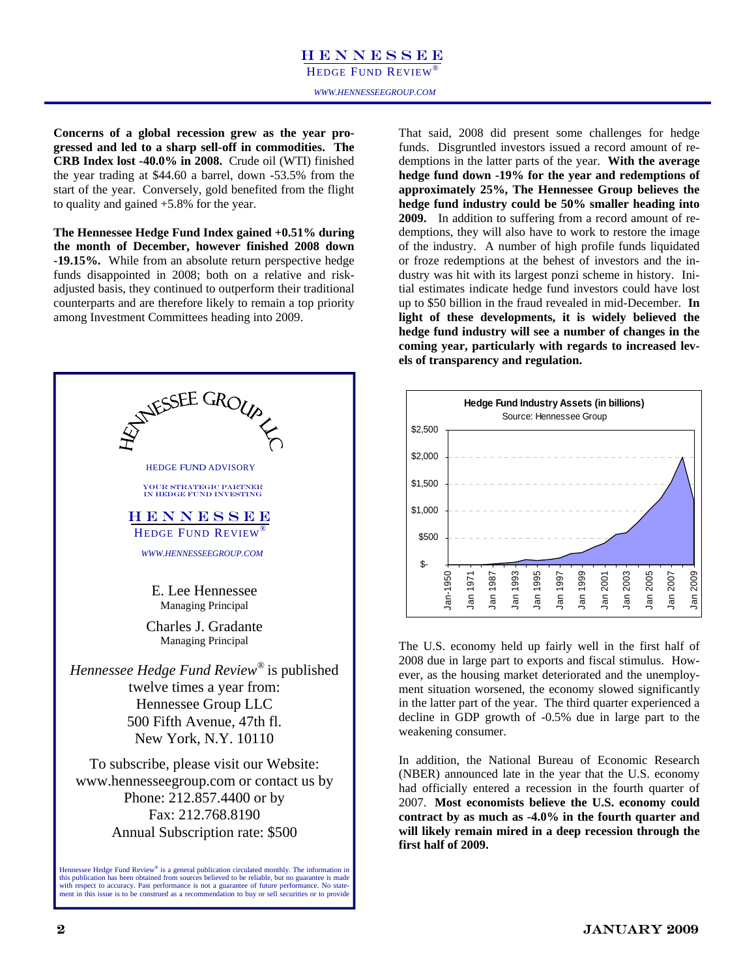### HENNESSEE HEDGE FUND REVIEW®

**Concerns of a global recession grew as the year progressed and led to a sharp sell-off in commodities. The CRB Index lost -40.0% in 2008.** Crude oil (WTI) finished the year trading at \$44.60 a barrel, down -53.5% from the start of the year. Conversely, gold benefited from the flight to quality and gained +5.8% for the year.

**The Hennessee Hedge Fund Index gained +0.51% during the month of December, however finished 2008 down -19.15%.** While from an absolute return perspective hedge funds disappointed in 2008; both on a relative and riskadjusted basis, they continued to outperform their traditional counterparts and are therefore likely to remain a top priority among Investment Committees heading into 2009.



That said, 2008 did present some challenges for hedge funds. Disgruntled investors issued a record amount of redemptions in the latter parts of the year. **With the average hedge fund down -19% for the year and redemptions of approximately 25%, The Hennessee Group believes the hedge fund industry could be 50% smaller heading into 2009.** In addition to suffering from a record amount of redemptions, they will also have to work to restore the image of the industry. A number of high profile funds liquidated or froze redemptions at the behest of investors and the industry was hit with its largest ponzi scheme in history. Initial estimates indicate hedge fund investors could have lost up to \$50 billion in the fraud revealed in mid-December. **In light of these developments, it is widely believed the hedge fund industry will see a number of changes in the coming year, particularly with regards to increased levels of transparency and regulation.** 



The U.S. economy held up fairly well in the first half of 2008 due in large part to exports and fiscal stimulus. However, as the housing market deteriorated and the unemployment situation worsened, the economy slowed significantly in the latter part of the year. The third quarter experienced a decline in GDP growth of -0.5% due in large part to the weakening consumer.

In addition, the National Bureau of Economic Research (NBER) announced late in the year that the U.S. economy had officially entered a recession in the fourth quarter of 2007. **Most economists believe the U.S. economy could contract by as much as -4.0% in the fourth quarter and will likely remain mired in a deep recession through the first half of 2009.**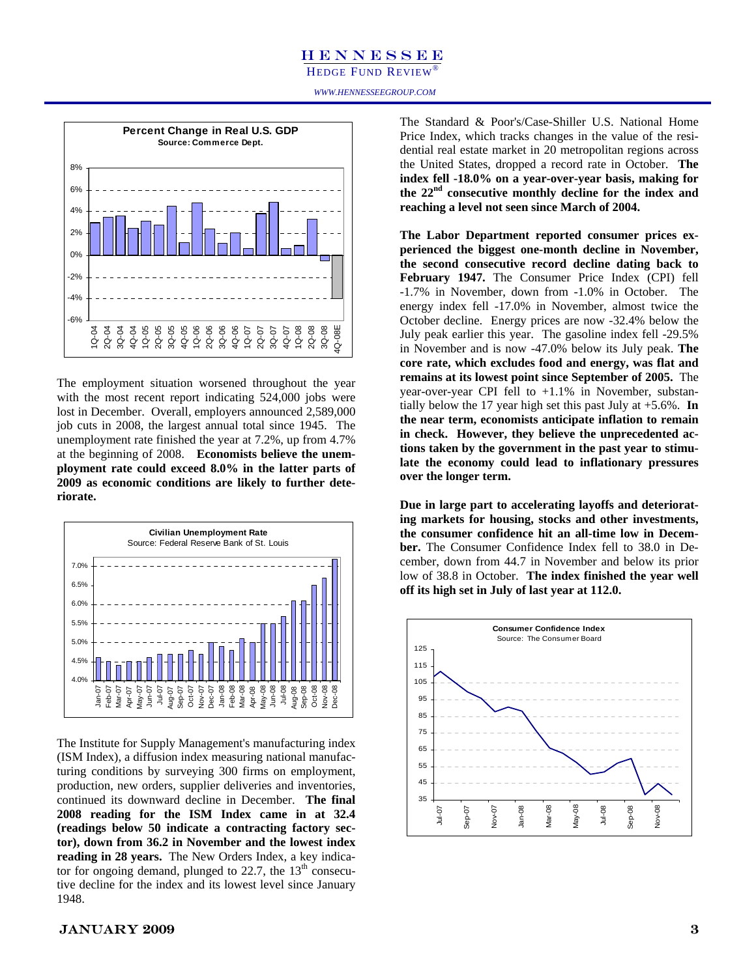HEDGE FUND REVIEW®



The employment situation worsened throughout the year with the most recent report indicating 524,000 jobs were lost in December. Overall, employers announced 2,589,000 job cuts in 2008, the largest annual total since 1945. The unemployment rate finished the year at 7.2%, up from 4.7% at the beginning of 2008. **Economists believe the unemployment rate could exceed 8.0% in the latter parts of 2009 as economic conditions are likely to further deteriorate.** 



The Institute for Supply Management's manufacturing index (ISM Index), a diffusion index measuring national manufacturing conditions by surveying 300 firms on employment, production, new orders, supplier deliveries and inventories, continued its downward decline in December. **The final 2008 reading for the ISM Index came in at 32.4 (readings below 50 indicate a contracting factory sector), down from 36.2 in November and the lowest index reading in 28 years.** The New Orders Index, a key indicator for ongoing demand, plunged to  $22.7$ , the  $13<sup>th</sup>$  consecutive decline for the index and its lowest level since January 1948.

The Standard & Poor's/Case-Shiller U.S. National Home Price Index, which tracks changes in the value of the residential real estate market in 20 metropolitan regions across the United States, dropped a record rate in October. **The index fell -18.0% on a year-over-year basis, making for the 22nd consecutive monthly decline for the index and reaching a level not seen since March of 2004.** 

**The Labor Department reported consumer prices experienced the biggest one-month decline in November, the second consecutive record decline dating back to February 1947.** The Consumer Price Index (CPI) fell -1.7% in November, down from -1.0% in October. The energy index fell -17.0% in November, almost twice the October decline. Energy prices are now -32.4% below the July peak earlier this year. The gasoline index fell -29.5% in November and is now -47.0% below its July peak. **The core rate, which excludes food and energy, was flat and remains at its lowest point since September of 2005.** The year-over-year CPI fell to +1.1% in November, substantially below the 17 year high set this past July at +5.6%. **In the near term, economists anticipate inflation to remain in check. However, they believe the unprecedented actions taken by the government in the past year to stimulate the economy could lead to inflationary pressures over the longer term.**

**Due in large part to accelerating layoffs and deteriorating markets for housing, stocks and other investments, the consumer confidence hit an all-time low in December.** The Consumer Confidence Index fell to 38.0 in December, down from 44.7 in November and below its prior low of 38.8 in October. **The index finished the year well off its high set in July of last year at 112.0.** 



### $JANUARY~2009$  3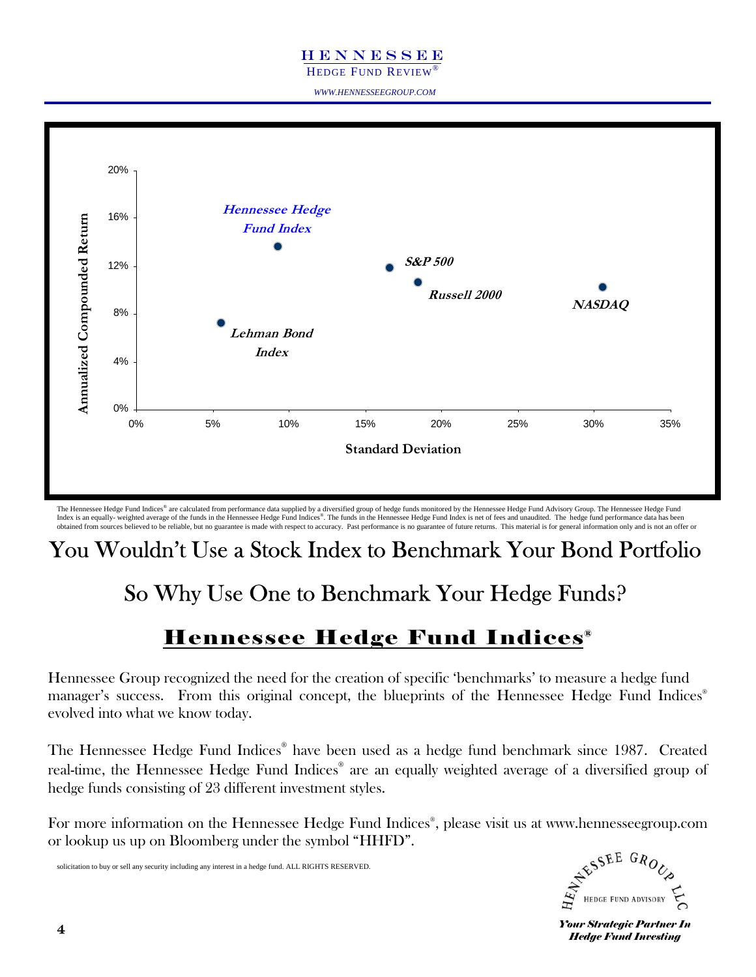HEDGE FUND REVIEW

*WWW.HENNESSEEGROUP.COM* 



The Hennessee Hedge Fund Indices® are calculated from performance data supplied by a diversified group of hedge funds monitored by the Hennessee Hedge Fund Advisory Group. The Hennessee Hedge Fund Index is an equally- weighted average of the funds in the Hennessee Hedge Fund Indices®. The funds in the Hennessee Hedge Fund Index is net of fees and unaudited. The hedge fund performance data has been obtained from sources believed to be reliable, but no guarantee is made with respect to accuracy. Past performance is no guarantee of future returns. This material is for general information only and is not an offer or

## You Wouldn't Use a Stock Index to Benchmark Your Bond Portfolio

# So Why Use One to Benchmark Your Hedge Funds?

## Hennessee Hedge Fund Indices®

Hennessee Group recognized the need for the creation of specific 'benchmarks' to measure a hedge fund manager's success. From this original concept, the blueprints of the Hennessee Hedge Fund Indices<sup>®</sup> evolved into what we know today.

The Hennessee Hedge Fund Indices® have been used as a hedge fund benchmark since 1987. Created real-time, the Hennessee Hedge Fund Indices® are an equally weighted average of a diversified group of hedge funds consisting of 23 different investment styles.

For more information on the Hennessee Hedge Fund Indices® , please visit us at www.hennesseegroup.com or lookup us up on Bloomberg under the symbol "HHFD".

solicitation to buy or sell any security including any interest in a hedge fund. ALL RIGHTS RESERVED.



**Your Strategic Partner In** *Hedge Fund Investing*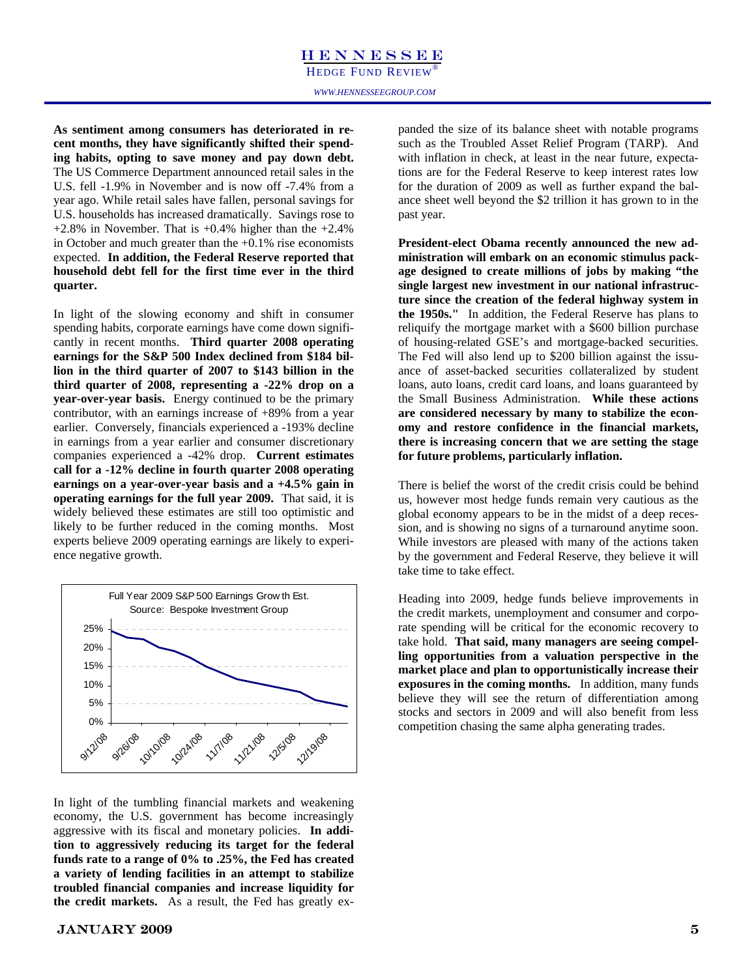**As sentiment among consumers has deteriorated in recent months, they have significantly shifted their spending habits, opting to save money and pay down debt.** The US Commerce Department announced retail sales in the U.S. fell -1.9% in November and is now off -7.4% from a year ago. While retail sales have fallen, personal savings for U.S. households has increased dramatically. Savings rose to  $+2.8\%$  in November. That is  $+0.4\%$  higher than the  $+2.4\%$ in October and much greater than the +0.1% rise economists expected. **In addition, the Federal Reserve reported that household debt fell for the first time ever in the third quarter.** 

In light of the slowing economy and shift in consumer spending habits, corporate earnings have come down significantly in recent months. **Third quarter 2008 operating earnings for the S&P 500 Index declined from \$184 billion in the third quarter of 2007 to \$143 billion in the third quarter of 2008, representing a -22% drop on a year-over-year basis.** Energy continued to be the primary contributor, with an earnings increase of +89% from a year earlier. Conversely, financials experienced a -193% decline in earnings from a year earlier and consumer discretionary companies experienced a -42% drop. **Current estimates call for a -12% decline in fourth quarter 2008 operating earnings on a year-over-year basis and a +4.5% gain in operating earnings for the full year 2009.** That said, it is widely believed these estimates are still too optimistic and likely to be further reduced in the coming months. Most experts believe 2009 operating earnings are likely to experience negative growth.



In light of the tumbling financial markets and weakening economy, the U.S. government has become increasingly aggressive with its fiscal and monetary policies. **In addition to aggressively reducing its target for the federal funds rate to a range of 0% to .25%, the Fed has created a variety of lending facilities in an attempt to stabilize troubled financial companies and increase liquidity for the credit markets.** As a result, the Fed has greatly expanded the size of its balance sheet with notable programs such as the Troubled Asset Relief Program (TARP). And with inflation in check, at least in the near future, expectations are for the Federal Reserve to keep interest rates low for the duration of 2009 as well as further expand the balance sheet well beyond the \$2 trillion it has grown to in the past year.

**President-elect Obama recently announced the new administration will embark on an economic stimulus package designed to create millions of jobs by making "the single largest new investment in our national infrastructure since the creation of the federal highway system in the 1950s."** In addition, the Federal Reserve has plans to reliquify the mortgage market with a \$600 billion purchase of housing-related GSE's and mortgage-backed securities. The Fed will also lend up to \$200 billion against the issuance of asset-backed securities collateralized by student loans, auto loans, credit card loans, and loans guaranteed by the Small Business Administration. **While these actions are considered necessary by many to stabilize the economy and restore confidence in the financial markets, there is increasing concern that we are setting the stage for future problems, particularly inflation.** 

There is belief the worst of the credit crisis could be behind us, however most hedge funds remain very cautious as the global economy appears to be in the midst of a deep recession, and is showing no signs of a turnaround anytime soon. While investors are pleased with many of the actions taken by the government and Federal Reserve, they believe it will take time to take effect.

Heading into 2009, hedge funds believe improvements in the credit markets, unemployment and consumer and corporate spending will be critical for the economic recovery to take hold. **That said, many managers are seeing compelling opportunities from a valuation perspective in the market place and plan to opportunistically increase their exposures in the coming months.** In addition, many funds believe they will see the return of differentiation among stocks and sectors in 2009 and will also benefit from less competition chasing the same alpha generating trades.

### January 2009 5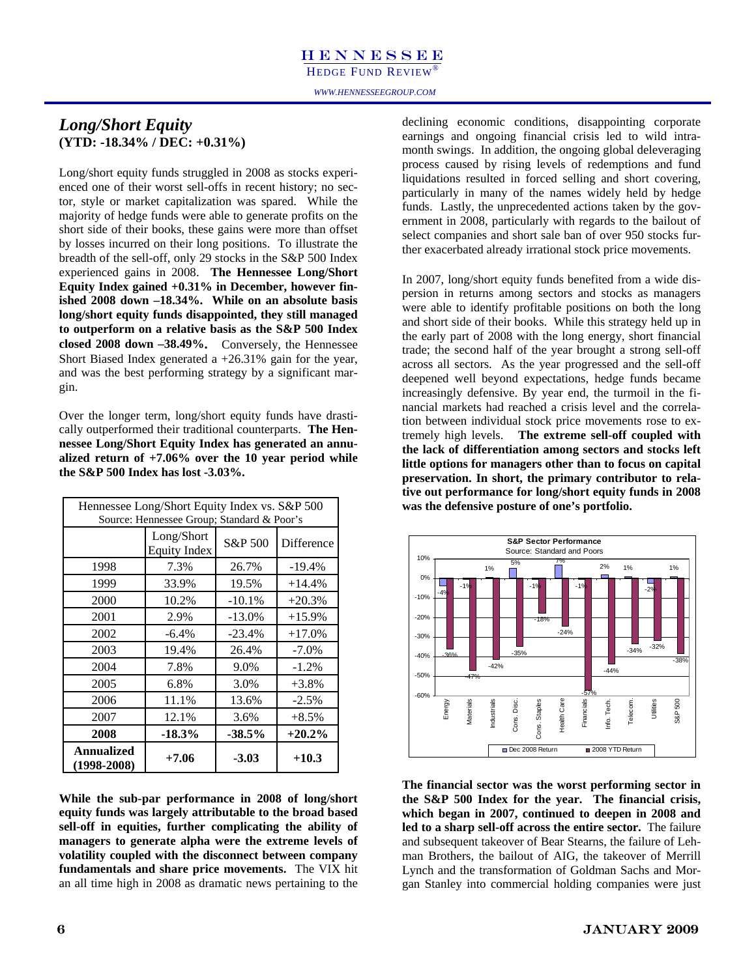HEDGE FUND REVIEW®

*WWW.HENNESSEEGROUP.COM* 

### *Long/Short Equity*  **(YTD: -18.34% / DEC: +0.31%)**

Long/short equity funds struggled in 2008 as stocks experienced one of their worst sell-offs in recent history; no sector, style or market capitalization was spared. While the majority of hedge funds were able to generate profits on the short side of their books, these gains were more than offset by losses incurred on their long positions. To illustrate the breadth of the sell-off, only 29 stocks in the S&P 500 Index experienced gains in 2008. **The Hennessee Long/Short Equity Index gained +0.31% in December, however finished 2008 down –18.34%. While on an absolute basis long/short equity funds disappointed, they still managed to outperform on a relative basis as the S&P 500 Index closed 2008 down –38.49%.** Conversely, the Hennessee Short Biased Index generated a +26.31% gain for the year, and was the best performing strategy by a significant margin.

Over the longer term, long/short equity funds have drastically outperformed their traditional counterparts. **The Hennessee Long/Short Equity Index has generated an annualized return of +7.06% over the 10 year period while the S&P 500 Index has lost -3.03%.** 

|                               | Hennessee Long/Short Equity Index vs. S&P 500<br>Source: Hennessee Group; Standard & Poor's |          |            |
|-------------------------------|---------------------------------------------------------------------------------------------|----------|------------|
|                               | Long/Short<br><b>Equity Index</b>                                                           | S&P 500  | Difference |
| 1998                          | 7.3%                                                                                        | 26.7%    | $-19.4\%$  |
| 1999                          | 33.9%                                                                                       | 19.5%    | $+14.4%$   |
| 2000                          | 10.2%                                                                                       | $-10.1%$ | $+20.3%$   |
| 2001                          | 2.9%                                                                                        | $-13.0%$ | $+15.9%$   |
| 2002                          | $-6.4%$                                                                                     | $-23.4%$ | $+17.0%$   |
| 2003                          | 19.4%                                                                                       | 26.4%    | $-7.0%$    |
| 2004                          | 7.8%                                                                                        | 9.0%     | $-1.2%$    |
| 2005                          | 6.8%                                                                                        | 3.0%     | $+3.8%$    |
| 2006                          | 11.1%                                                                                       | 13.6%    | $-2.5%$    |
| 2007                          | 12.1%                                                                                       | 3.6%     | $+8.5%$    |
| 2008                          | $-18.3\%$                                                                                   | -38.5%   | $+20.2%$   |
| Annualized<br>$(1998 - 2008)$ | $+7.06$                                                                                     | $-3.03$  | $+10.3$    |

**While the sub-par performance in 2008 of long/short equity funds was largely attributable to the broad based sell-off in equities, further complicating the ability of managers to generate alpha were the extreme levels of volatility coupled with the disconnect between company fundamentals and share price movements.** The VIX hit an all time high in 2008 as dramatic news pertaining to the declining economic conditions, disappointing corporate earnings and ongoing financial crisis led to wild intramonth swings. In addition, the ongoing global deleveraging process caused by rising levels of redemptions and fund liquidations resulted in forced selling and short covering, particularly in many of the names widely held by hedge funds. Lastly, the unprecedented actions taken by the government in 2008, particularly with regards to the bailout of select companies and short sale ban of over 950 stocks further exacerbated already irrational stock price movements.

In 2007, long/short equity funds benefited from a wide dispersion in returns among sectors and stocks as managers were able to identify profitable positions on both the long and short side of their books. While this strategy held up in the early part of 2008 with the long energy, short financial trade; the second half of the year brought a strong sell-off across all sectors. As the year progressed and the sell-off deepened well beyond expectations, hedge funds became increasingly defensive. By year end, the turmoil in the financial markets had reached a crisis level and the correlation between individual stock price movements rose to extremely high levels. **The extreme sell-off coupled with the lack of differentiation among sectors and stocks left little options for managers other than to focus on capital preservation. In short, the primary contributor to relative out performance for long/short equity funds in 2008 was the defensive posture of one's portfolio.** 



**The financial sector was the worst performing sector in the S&P 500 Index for the year. The financial crisis, which began in 2007, continued to deepen in 2008 and led to a sharp sell-off across the entire sector.** The failure and subsequent takeover of Bear Stearns, the failure of Lehman Brothers, the bailout of AIG, the takeover of Merrill Lynch and the transformation of Goldman Sachs and Morgan Stanley into commercial holding companies were just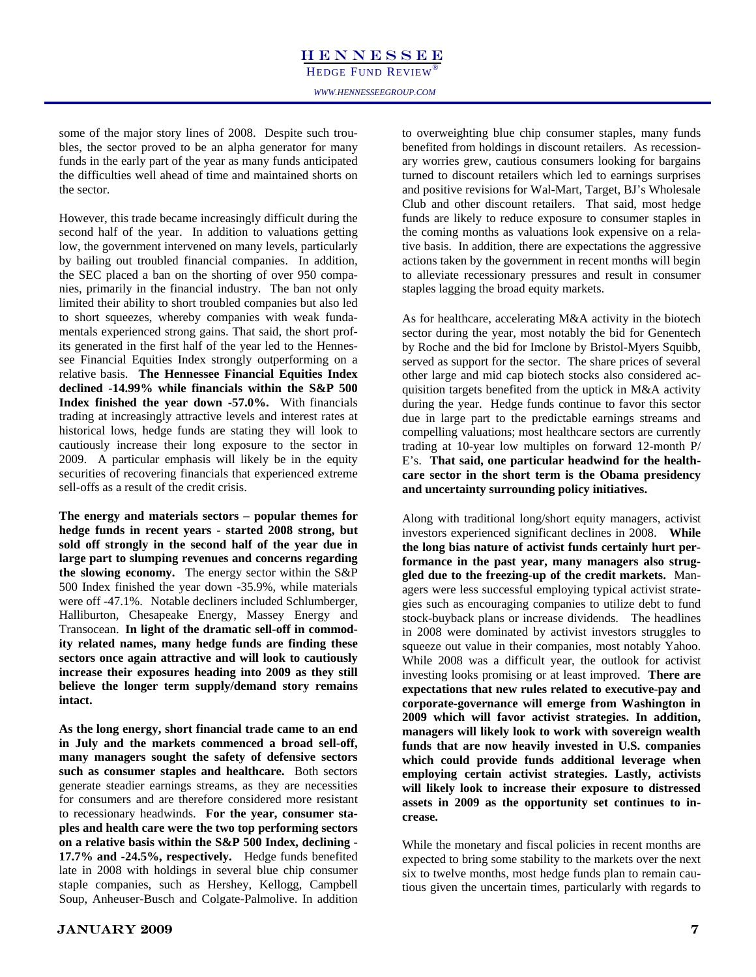some of the major story lines of 2008. Despite such troubles, the sector proved to be an alpha generator for many funds in the early part of the year as many funds anticipated the difficulties well ahead of time and maintained shorts on the sector.

However, this trade became increasingly difficult during the second half of the year. In addition to valuations getting low, the government intervened on many levels, particularly by bailing out troubled financial companies. In addition, the SEC placed a ban on the shorting of over 950 companies, primarily in the financial industry. The ban not only limited their ability to short troubled companies but also led to short squeezes, whereby companies with weak fundamentals experienced strong gains. That said, the short profits generated in the first half of the year led to the Hennessee Financial Equities Index strongly outperforming on a relative basis. **The Hennessee Financial Equities Index declined -14.99% while financials within the S&P 500 Index finished the year down -57.0%.** With financials trading at increasingly attractive levels and interest rates at historical lows, hedge funds are stating they will look to cautiously increase their long exposure to the sector in 2009. A particular emphasis will likely be in the equity securities of recovering financials that experienced extreme sell-offs as a result of the credit crisis.

**The energy and materials sectors – popular themes for hedge funds in recent years - started 2008 strong, but sold off strongly in the second half of the year due in large part to slumping revenues and concerns regarding the slowing economy.** The energy sector within the S&P 500 Index finished the year down -35.9%, while materials were off -47.1%.Notable decliners included Schlumberger, Halliburton, Chesapeake Energy, Massey Energy and Transocean. **In light of the dramatic sell-off in commodity related names, many hedge funds are finding these sectors once again attractive and will look to cautiously increase their exposures heading into 2009 as they still believe the longer term supply/demand story remains intact.** 

**As the long energy, short financial trade came to an end in July and the markets commenced a broad sell-off, many managers sought the safety of defensive sectors such as consumer staples and healthcare.** Both sectors generate steadier earnings streams, as they are necessities for consumers and are therefore considered more resistant to recessionary headwinds. **For the year, consumer staples and health care were the two top performing sectors on a relative basis within the S&P 500 Index, declining - 17.7% and -24.5%, respectively.** Hedge funds benefited late in 2008 with holdings in several blue chip consumer staple companies, such as Hershey, Kellogg, Campbell Soup, Anheuser-Busch and Colgate-Palmolive. In addition to overweighting blue chip consumer staples, many funds benefited from holdings in discount retailers. As recessionary worries grew, cautious consumers looking for bargains turned to discount retailers which led to earnings surprises and positive revisions for Wal-Mart, Target, BJ's Wholesale Club and other discount retailers. That said, most hedge funds are likely to reduce exposure to consumer staples in the coming months as valuations look expensive on a relative basis. In addition, there are expectations the aggressive actions taken by the government in recent months will begin to alleviate recessionary pressures and result in consumer staples lagging the broad equity markets.

As for healthcare, accelerating M&A activity in the biotech sector during the year, most notably the bid for Genentech by Roche and the bid for Imclone by Bristol-Myers Squibb, served as support for the sector. The share prices of several other large and mid cap biotech stocks also considered acquisition targets benefited from the uptick in M&A activity during the year. Hedge funds continue to favor this sector due in large part to the predictable earnings streams and compelling valuations; most healthcare sectors are currently trading at 10-year low multiples on forward 12-month P/ E's. **That said, one particular headwind for the healthcare sector in the short term is the Obama presidency and uncertainty surrounding policy initiatives.** 

Along with traditional long/short equity managers, activist investors experienced significant declines in 2008. **While the long bias nature of activist funds certainly hurt performance in the past year, many managers also struggled due to the freezing-up of the credit markets.** Managers were less successful employing typical activist strategies such as encouraging companies to utilize debt to fund stock-buyback plans or increase dividends. The headlines in 2008 were dominated by activist investors struggles to squeeze out value in their companies, most notably Yahoo. While 2008 was a difficult year, the outlook for activist investing looks promising or at least improved. **There are expectations that new rules related to executive-pay and corporate-governance will emerge from Washington in 2009 which will favor activist strategies. In addition, managers will likely look to work with sovereign wealth funds that are now heavily invested in U.S. companies which could provide funds additional leverage when employing certain activist strategies. Lastly, activists will likely look to increase their exposure to distressed assets in 2009 as the opportunity set continues to increase.** 

While the monetary and fiscal policies in recent months are expected to bring some stability to the markets over the next six to twelve months, most hedge funds plan to remain cautious given the uncertain times, particularly with regards to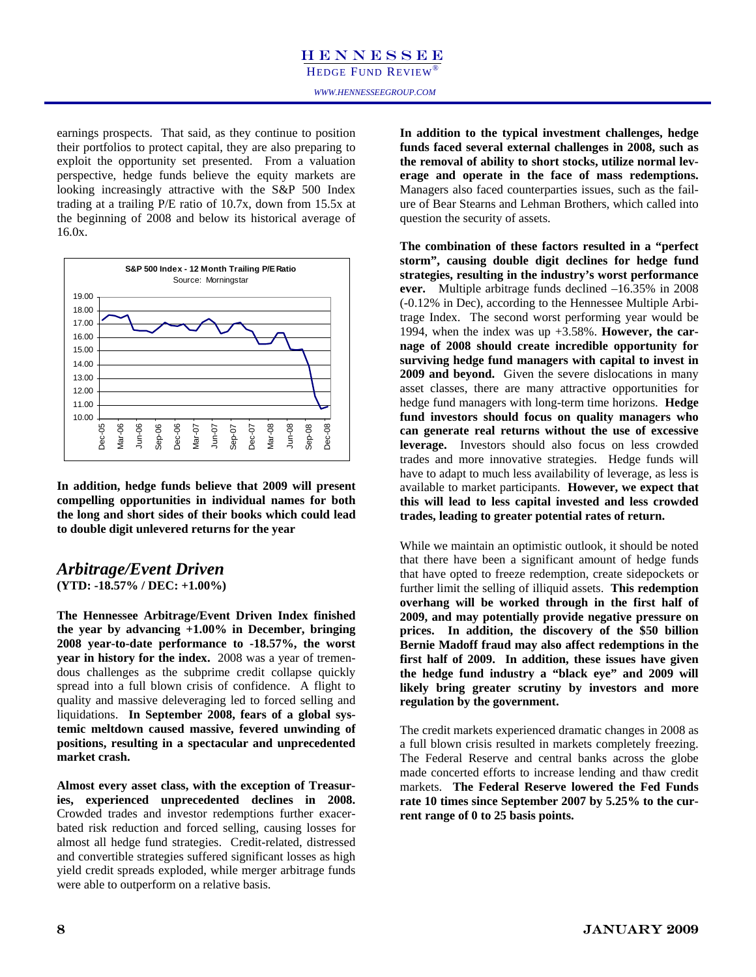HEDGE FUND REVIEW

earnings prospects. That said, as they continue to position their portfolios to protect capital, they are also preparing to exploit the opportunity set presented. From a valuation perspective, hedge funds believe the equity markets are looking increasingly attractive with the S&P 500 Index trading at a trailing P/E ratio of 10.7x, down from 15.5x at the beginning of 2008 and below its historical average of 16.0x.



**In addition, hedge funds believe that 2009 will present compelling opportunities in individual names for both the long and short sides of their books which could lead to double digit unlevered returns for the year**

### *Arbitrage/Event Driven*  **(YTD: -18.57% / DEC: +1.00%)**

**The Hennessee Arbitrage/Event Driven Index finished the year by advancing +1.00% in December, bringing 2008 year-to-date performance to -18.57%, the worst year in history for the index.** 2008 was a year of tremendous challenges as the subprime credit collapse quickly spread into a full blown crisis of confidence. A flight to quality and massive deleveraging led to forced selling and liquidations. **In September 2008, fears of a global systemic meltdown caused massive, fevered unwinding of positions, resulting in a spectacular and unprecedented market crash.** 

**Almost every asset class, with the exception of Treasuries, experienced unprecedented declines in 2008.**  Crowded trades and investor redemptions further exacerbated risk reduction and forced selling, causing losses for almost all hedge fund strategies. Credit-related, distressed and convertible strategies suffered significant losses as high yield credit spreads exploded, while merger arbitrage funds were able to outperform on a relative basis.

**In addition to the typical investment challenges, hedge funds faced several external challenges in 2008, such as the removal of ability to short stocks, utilize normal leverage and operate in the face of mass redemptions.**  Managers also faced counterparties issues, such as the failure of Bear Stearns and Lehman Brothers, which called into question the security of assets.

**The combination of these factors resulted in a "perfect storm", causing double digit declines for hedge fund strategies, resulting in the industry's worst performance ever.** Multiple arbitrage funds declined –16.35% in 2008 (-0.12% in Dec), according to the Hennessee Multiple Arbitrage Index. The second worst performing year would be 1994, when the index was up +3.58%. **However, the carnage of 2008 should create incredible opportunity for surviving hedge fund managers with capital to invest in 2009 and beyond.** Given the severe dislocations in many asset classes, there are many attractive opportunities for hedge fund managers with long-term time horizons. **Hedge fund investors should focus on quality managers who can generate real returns without the use of excessive leverage.** Investors should also focus on less crowded trades and more innovative strategies. Hedge funds will have to adapt to much less availability of leverage, as less is available to market participants. **However, we expect that this will lead to less capital invested and less crowded trades, leading to greater potential rates of return.** 

While we maintain an optimistic outlook, it should be noted that there have been a significant amount of hedge funds that have opted to freeze redemption, create sidepockets or further limit the selling of illiquid assets. **This redemption overhang will be worked through in the first half of 2009, and may potentially provide negative pressure on prices. In addition, the discovery of the \$50 billion Bernie Madoff fraud may also affect redemptions in the first half of 2009. In addition, these issues have given the hedge fund industry a "black eye" and 2009 will likely bring greater scrutiny by investors and more regulation by the government.** 

The credit markets experienced dramatic changes in 2008 as a full blown crisis resulted in markets completely freezing. The Federal Reserve and central banks across the globe made concerted efforts to increase lending and thaw credit markets. **The Federal Reserve lowered the Fed Funds rate 10 times since September 2007 by 5.25% to the current range of 0 to 25 basis points.**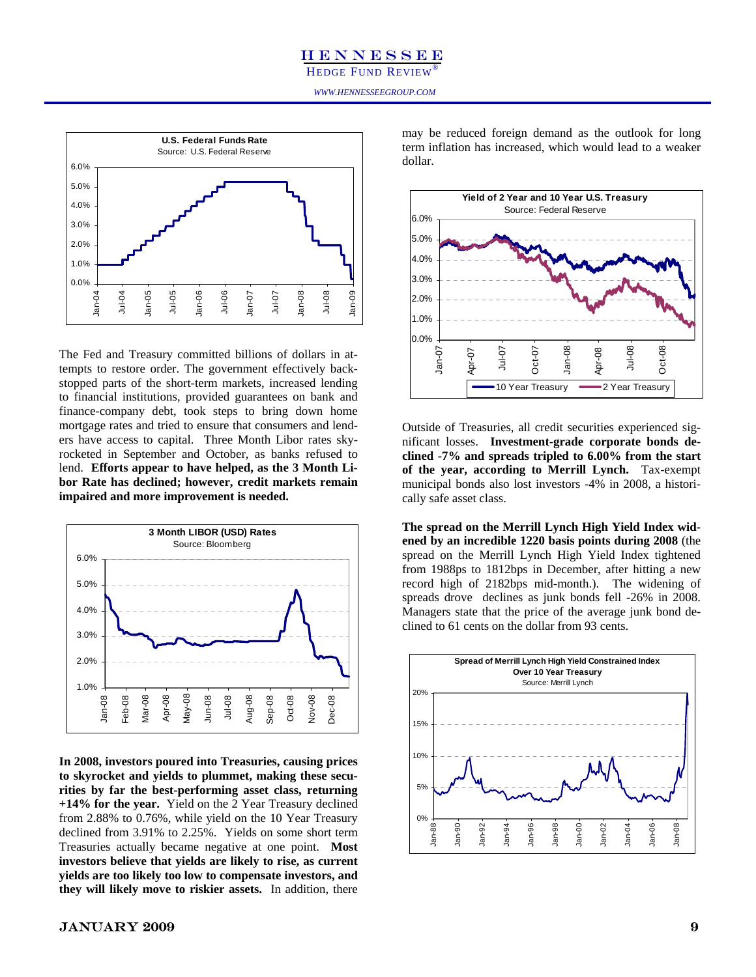

The Fed and Treasury committed billions of dollars in attempts to restore order. The government effectively backstopped parts of the short-term markets, increased lending to financial institutions, provided guarantees on bank and finance-company debt, took steps to bring down home mortgage rates and tried to ensure that consumers and lenders have access to capital. Three Month Libor rates skyrocketed in September and October, as banks refused to lend. **Efforts appear to have helped, as the 3 Month Libor Rate has declined; however, credit markets remain impaired and more improvement is needed.** 



**In 2008, investors poured into Treasuries, causing prices to skyrocket and yields to plummet, making these securities by far the best-performing asset class, returning +14% for the year.** Yield on the 2 Year Treasury declined from 2.88% to 0.76%, while yield on the 10 Year Treasury declined from 3.91% to 2.25%. Yields on some short term Treasuries actually became negative at one point. **Most investors believe that yields are likely to rise, as current yields are too likely too low to compensate investors, and they will likely move to riskier assets.** In addition, there

Funds Rate<br>
May be reduced foreign definant as the ottook for forget<br>
term inflation has increased, which would lead to a weaker<br>
dollar. may be reduced foreign demand as the outlook for long dollar.



Outside of Treasuries, all credit securities experienced significant losses. **Investment-grade corporate bonds declined -7% and spreads tripled to 6.00% from the start of the year, according to Merrill Lynch.** Tax-exempt municipal bonds also lost investors -4% in 2008, a historically safe asset class.

**The spread on the Merrill Lynch High Yield Index widened by an incredible 1220 basis points during 2008** (the spread on the Merrill Lynch High Yield Index tightened from 1988ps to 1812bps in December, after hitting a new record high of 2182bps mid-month.). The widening of spreads drove declines as junk bonds fell -26% in 2008. Managers state that the price of the average junk bond declined to 61 cents on the dollar from 93 cents.

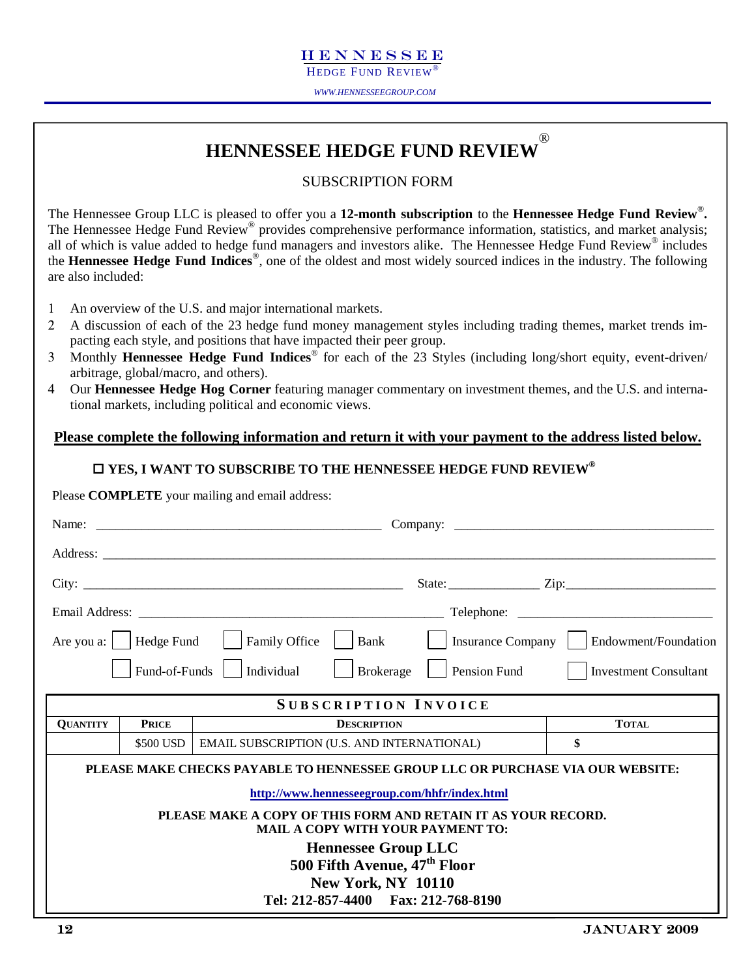HEDGE FUND REVIEW

*WWW.HENNESSEEGROUP.COM* 

### **HENNESSEE HEDGE FUND REVIEW** ®

### SUBSCRIPTION FORM

The Hennessee Group LLC is pleased to offer you a **12-month subscription** to the **Hennessee Hedge Fund Review**®**.** The Hennessee Hedge Fund Review<sup>®</sup> provides comprehensive performance information, statistics, and market analysis; all of which is value added to hedge fund managers and investors alike. The Hennessee Hedge Fund Review® includes the **Hennessee Hedge Fund Indices**®, one of the oldest and most widely sourced indices in the industry. The following are also included:

- 1 An overview of the U.S. and major international markets.
- 2 A discussion of each of the 23 hedge fund money management styles including trading themes, market trends impacting each style, and positions that have impacted their peer group.
- 3 Monthly **Hennessee Hedge Fund Indices**® for each of the 23 Styles (including long/short equity, event-driven/ arbitrage, global/macro, and others).
- 4 Our **Hennessee Hedge Hog Corner** featuring manager commentary on investment themes, and the U.S. and international markets, including political and economic views.

### **Please complete the following information and return it with your payment to the address listed below.**

### **YES, I WANT TO SUBSCRIBE TO THE HENNESSEE HEDGE FUND REVIEW®**

Please **COMPLETE** your mailing and email address:

|                 |               |                                                                                                                                                                                                                                                         |              | State: $\frac{Zip:\_$                      |
|-----------------|---------------|---------------------------------------------------------------------------------------------------------------------------------------------------------------------------------------------------------------------------------------------------------|--------------|--------------------------------------------|
|                 |               |                                                                                                                                                                                                                                                         |              |                                            |
|                 |               | Are you a:     Hedge Fund       Family Office<br>$ $ Bank                                                                                                                                                                                               |              | Insurance Company     Endowment/Foundation |
|                 | Fund-of-Funds | Individual<br><b>Brokerage</b>                                                                                                                                                                                                                          | Pension Fund | <b>Investment Consultant</b>               |
|                 |               | <b>SUBSCRIPTION INVOICE</b>                                                                                                                                                                                                                             |              |                                            |
| <b>QUANTITY</b> | <b>PRICE</b>  | <b>DESCRIPTION</b>                                                                                                                                                                                                                                      |              | <b>TOTAL</b>                               |
|                 | \$500 USD     | <b>EMAIL SUBSCRIPTION (U.S. AND INTERNATIONAL)</b>                                                                                                                                                                                                      |              | \$                                         |
|                 |               | PLEASE MAKE CHECKS PAYABLE TO HENNESSEE GROUP LLC OR PURCHASE VIA OUR WEBSITE:<br>http://www.hennesseegroup.com/hhfr/index.html                                                                                                                         |              |                                            |
|                 |               | PLEASE MAKE A COPY OF THIS FORM AND RETAIN IT AS YOUR RECORD.<br><b>MAIL A COPY WITH YOUR PAYMENT TO:</b><br><b>Hennessee Group LLC</b><br>500 Fifth Avenue, 47 <sup>th</sup> Floor<br><b>New York, NY 10110</b><br>Tel: 212-857-4400 Fax: 212-768-8190 |              |                                            |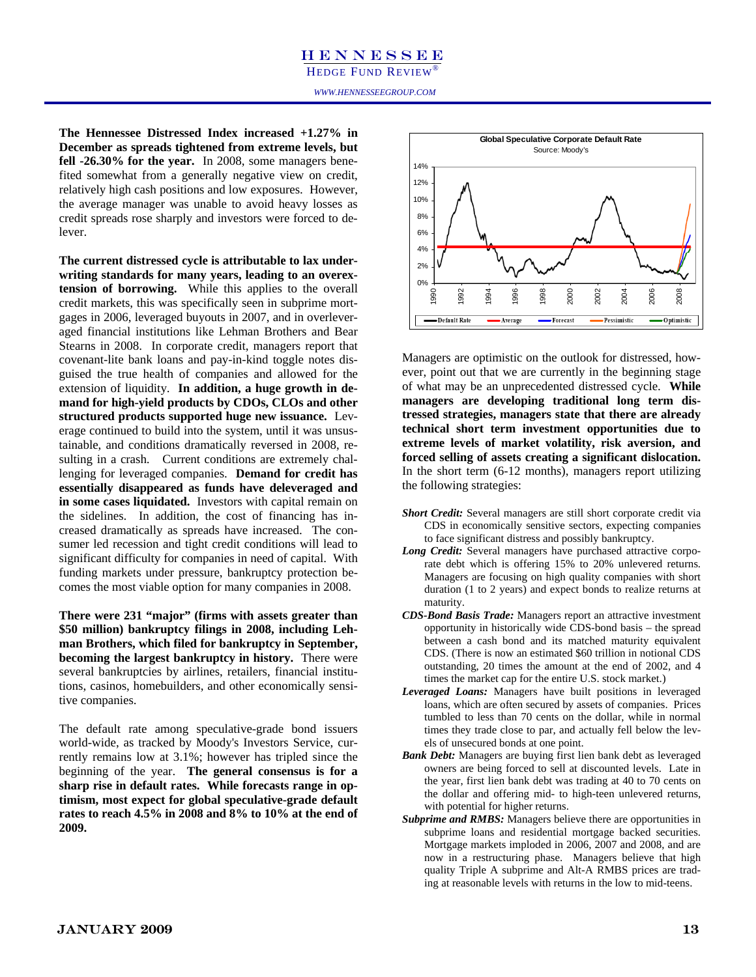### HENNESSEE HEDGE FUND REVIEW

) ecember as spreads tig **December as spreads tightened from extreme levels, but fell -26.30% for the year.** In 2008, some managers benefited somewhat from a generally negative view on credit, relatively high cash positions and low exposures. However, the average manager was unable to avoid heavy losses as credit spreads rose sharply and investors were forced to delever.

**The current distressed cycle is attributable to lax underwriting standards for many years, leading to an overextension of borrowing.** While this applies to the overall credit markets, this was specifically seen in subprime mortgages in 2006, leveraged buyouts in 2007, and in overleveraged financial institutions like Lehman Brothers and Bear Stearns in 2008. In corporate credit, managers report that covenant-lite bank loans and pay-in-kind toggle notes disguised the true health of companies and allowed for the extension of liquidity. **In addition, a huge growth in demand for high-yield products by CDOs, CLOs and other structured products supported huge new issuance.** Leverage continued to build into the system, until it was unsustainable, and conditions dramatically reversed in 2008, resulting in a crash. Current conditions are extremely challenging for leveraged companies. **Demand for credit has essentially disappeared as funds have deleveraged and in some cases liquidated.** Investors with capital remain on the sidelines. In addition, the cost of financing has increased dramatically as spreads have increased. The consumer led recession and tight credit conditions will lead to significant difficulty for companies in need of capital. With funding markets under pressure, bankruptcy protection becomes the most viable option for many companies in 2008.

**There were 231 "major" (firms with assets greater than \$50 million) bankruptcy filings in 2008, including Lehman Brothers, which filed for bankruptcy in September, becoming the largest bankruptcy in history.** There were several bankruptcies by airlines, retailers, financial institutions, casinos, homebuilders, and other economically sensitive companies.

The default rate among speculative-grade bond issuers world-wide, as tracked by Moody's Investors Service, currently remains low at 3.1%; however has tripled since the beginning of the year. **The general consensus is for a sharp rise in default rates. While forecasts range in optimism, most expect for global speculative-grade default rates to reach 4.5% in 2008 and 8% to 10% at the end of 2009.** 



Managers are optimistic on the outlook for distressed, however, point out that we are currently in the beginning stage of what may be an unprecedented distressed cycle. **While managers are developing traditional long term distressed strategies, managers state that there are already technical short term investment opportunities due to extreme levels of market volatility, risk aversion, and forced selling of assets creating a significant dislocation.**  In the short term (6-12 months), managers report utilizing the following strategies:

- *Short Credit:* Several managers are still short corporate credit via CDS in economically sensitive sectors, expecting companies to face significant distress and possibly bankruptcy.
- *Long Credit:* Several managers have purchased attractive corporate debt which is offering 15% to 20% unlevered returns. Managers are focusing on high quality companies with short duration (1 to 2 years) and expect bonds to realize returns at maturity.
- *CDS-Bond Basis Trade:* Managers report an attractive investment opportunity in historically wide CDS-bond basis – the spread between a cash bond and its matched maturity equivalent CDS. (There is now an estimated \$60 trillion in notional CDS outstanding, 20 times the amount at the end of 2002, and 4 times the market cap for the entire U.S. stock market.)
- *Leveraged Loans:* Managers have built positions in leveraged loans, which are often secured by assets of companies. Prices tumbled to less than 70 cents on the dollar, while in normal times they trade close to par, and actually fell below the levels of unsecured bonds at one point.
- *Bank Debt:* Managers are buying first lien bank debt as leveraged owners are being forced to sell at discounted levels. Late in the year, first lien bank debt was trading at 40 to 70 cents on the dollar and offering mid- to high-teen unlevered returns, with potential for higher returns.
- *Subprime and RMBS:* Managers believe there are opportunities in subprime loans and residential mortgage backed securities. Mortgage markets imploded in 2006, 2007 and 2008, and are now in a restructuring phase. Managers believe that high quality Triple A subprime and Alt-A RMBS prices are trading at reasonable levels with returns in the low to mid-teens.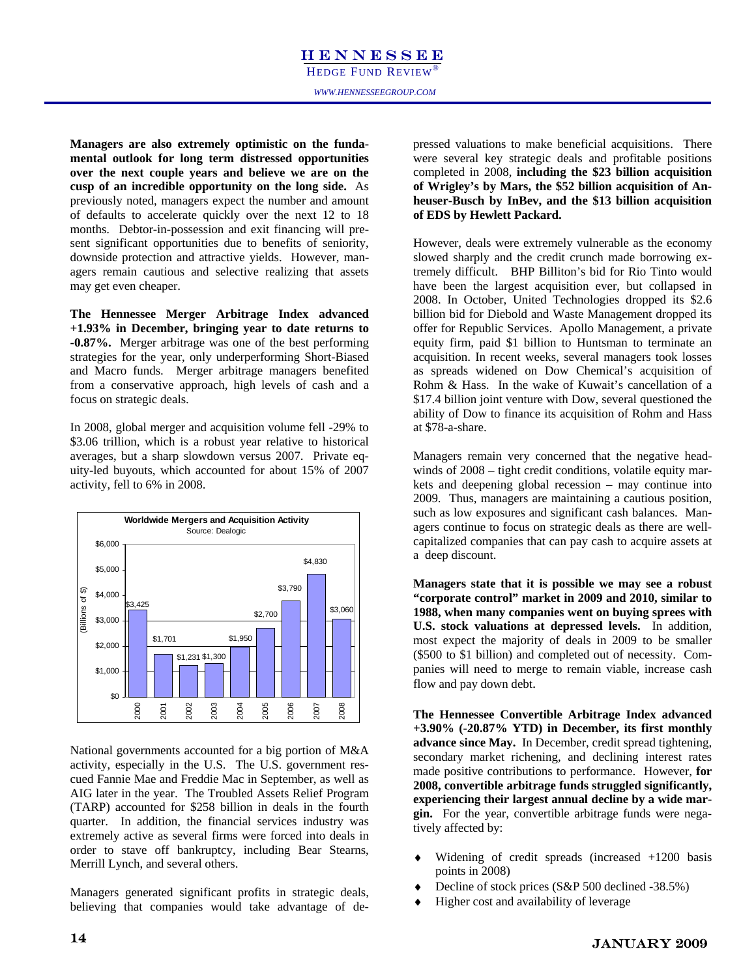**Managers are also extremely optimistic on the fundamental outlook for long term distressed opportunities over the next couple years and believe we are on the cusp of an incredible opportunity on the long side.** As previously noted, managers expect the number and amount of defaults to accelerate quickly over the next 12 to 18 months. Debtor-in-possession and exit financing will present significant opportunities due to benefits of seniority, downside protection and attractive yields. However, managers remain cautious and selective realizing that assets may get even cheaper.

**The Hennessee Merger Arbitrage Index advanced +1.93% in December, bringing year to date returns to -0.87%.** Merger arbitrage was one of the best performing strategies for the year, only underperforming Short-Biased and Macro funds. Merger arbitrage managers benefited from a conservative approach, high levels of cash and a focus on strategic deals.

In 2008, global merger and acquisition volume fell -29% to \$3.06 trillion, which is a robust year relative to historical averages, but a sharp slowdown versus 2007. Private equity-led buyouts, which accounted for about 15% of 2007 activity, fell to 6% in 2008.



National governments accounted for a big portion of M&A activity, especially in the U.S. The U.S. government rescued Fannie Mae and Freddie Mac in September, as well as AIG later in the year. The Troubled Assets Relief Program (TARP) accounted for \$258 billion in deals in the fourth quarter. In addition, the financial services industry was extremely active as several firms were forced into deals in order to stave off bankruptcy, including Bear Stearns, Merrill Lynch, and several others.

Managers generated significant profits in strategic deals, believing that companies would take advantage of depressed valuations to make beneficial acquisitions. There were several key strategic deals and profitable positions completed in 2008, **including the \$23 billion acquisition of Wrigley's by Mars, the \$52 billion acquisition of Anheuser-Busch by InBev, and the \$13 billion acquisition of EDS by Hewlett Packard.** 

However, deals were extremely vulnerable as the economy slowed sharply and the credit crunch made borrowing extremely difficult. BHP Billiton's bid for Rio Tinto would have been the largest acquisition ever, but collapsed in 2008. In October, United Technologies dropped its \$2.6 billion bid for Diebold and Waste Management dropped its offer for Republic Services. Apollo Management, a private equity firm, paid \$1 billion to Huntsman to terminate an acquisition. In recent weeks, several managers took losses as spreads widened on Dow Chemical's acquisition of Rohm & Hass. In the wake of Kuwait's cancellation of a \$17.4 billion joint venture with Dow, several questioned the ability of Dow to finance its acquisition of Rohm and Hass at \$78-a-share.

Managers remain very concerned that the negative headwinds of 2008 – tight credit conditions, volatile equity markets and deepening global recession – may continue into 2009. Thus, managers are maintaining a cautious position, such as low exposures and significant cash balances. Managers continue to focus on strategic deals as there are wellcapitalized companies that can pay cash to acquire assets at a deep discount.

**Managers state that it is possible we may see a robust "corporate control" market in 2009 and 2010, similar to 1988, when many companies went on buying sprees with U.S. stock valuations at depressed levels.** In addition, most expect the majority of deals in 2009 to be smaller (\$500 to \$1 billion) and completed out of necessity. Companies will need to merge to remain viable, increase cash flow and pay down debt.

**The Hennessee Convertible Arbitrage Index advanced +3.90% (-20.87% YTD) in December, its first monthly advance since May.** In December, credit spread tightening, secondary market richening, and declining interest rates made positive contributions to performance. However, **for 2008, convertible arbitrage funds struggled significantly, experiencing their largest annual decline by a wide margin.** For the year, convertible arbitrage funds were negatively affected by:

- Widening of credit spreads (increased  $+1200$  basis points in 2008)
- Decline of stock prices  $(S\&P 500$  declined -38.5%)
- Higher cost and availability of leverage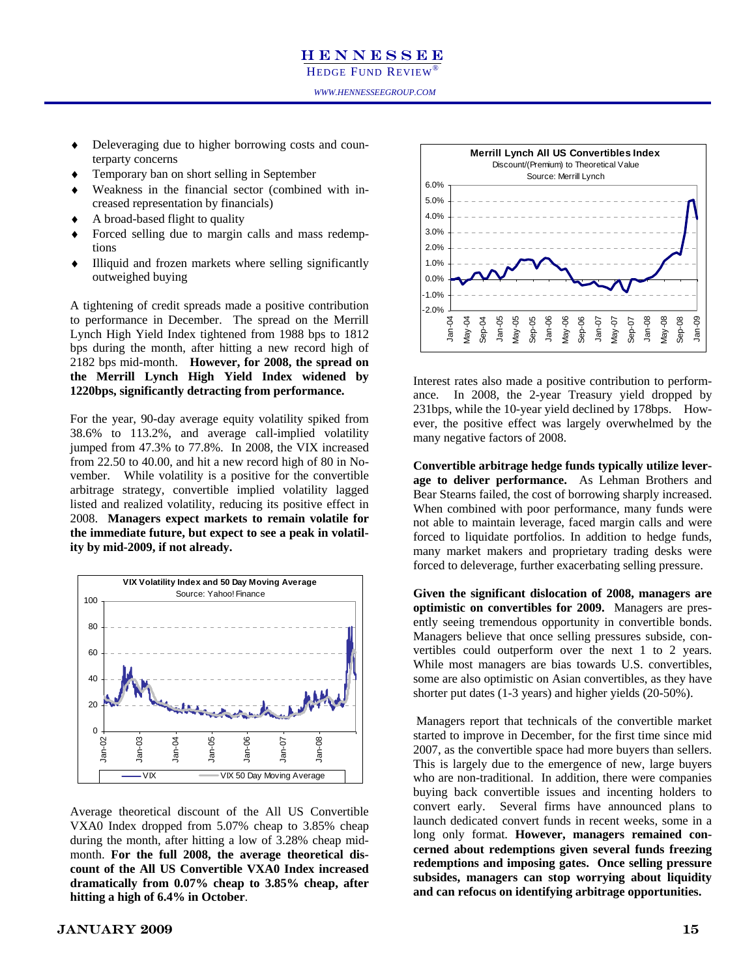HEDGE FUND REVIEW

- Deleveraging due to higher borrowing costs and counterparty concerns
	- Temporary ban on short selling in September
- Weakness in the financial sector (combined with increased representation by financials)
- A broad-based flight to quality
- Forced selling due to margin calls and mass redemptions
- Illiquid and frozen markets where selling significantly outweighed buying

A tightening of credit spreads made a positive contribution to performance in December. The spread on the Merrill Lynch High Yield Index tightened from 1988 bps to 1812 bps during the month, after hitting a new record high of 2182 bps mid-month. **However, for 2008, the spread on the Merrill Lynch High Yield Index widened by 1220bps, significantly detracting from performance.** 

For the year, 90-day average equity volatility spiked from 38.6% to 113.2%, and average call-implied volatility jumped from 47.3% to 77.8%. In 2008, the VIX increased from 22.50 to 40.00, and hit a new record high of 80 in November. While volatility is a positive for the convertible arbitrage strategy, convertible implied volatility lagged listed and realized volatility, reducing its positive effect in 2008. **Managers expect markets to remain volatile for the immediate future, but expect to see a peak in volatility by mid-2009, if not already.**



Average theoretical discount of the All US Convertible VXA0 Index dropped from 5.07% cheap to 3.85% cheap during the month, after hitting a low of 3.28% cheap midmonth. **For the full 2008, the average theoretical discount of the All US Convertible VXA0 Index increased dramatically from 0.07% cheap to 3.85% cheap, after hitting a high of 6.4% in October**.



Interest rates also made a positive contribution to performance. In 2008, the 2-year Treasury yield dropped by 231bps, while the 10-year yield declined by 178bps. However, the positive effect was largely overwhelmed by the many negative factors of 2008.

**Convertible arbitrage hedge funds typically utilize leverage to deliver performance.** As Lehman Brothers and Bear Stearns failed, the cost of borrowing sharply increased. When combined with poor performance, many funds were not able to maintain leverage, faced margin calls and were forced to liquidate portfolios. In addition to hedge funds, many market makers and proprietary trading desks were forced to deleverage, further exacerbating selling pressure.

**Given the significant dislocation of 2008, managers are optimistic on convertibles for 2009.** Managers are presently seeing tremendous opportunity in convertible bonds. Managers believe that once selling pressures subside, convertibles could outperform over the next 1 to 2 years. While most managers are bias towards U.S. convertibles, some are also optimistic on Asian convertibles, as they have shorter put dates (1-3 years) and higher yields (20-50%).

 Managers report that technicals of the convertible market started to improve in December, for the first time since mid 2007, as the convertible space had more buyers than sellers. This is largely due to the emergence of new, large buyers who are non-traditional. In addition, there were companies buying back convertible issues and incenting holders to convert early. Several firms have announced plans to launch dedicated convert funds in recent weeks, some in a long only format. **However, managers remained concerned about redemptions given several funds freezing redemptions and imposing gates. Once selling pressure subsides, managers can stop worrying about liquidity and can refocus on identifying arbitrage opportunities.**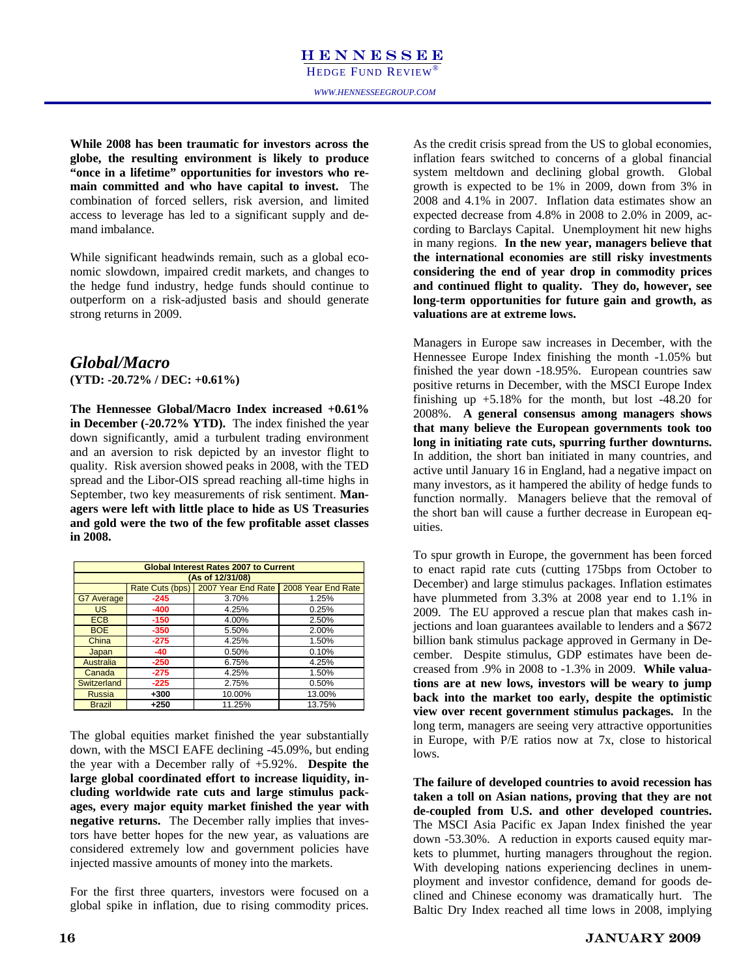**While 2008 has been traumatic for investors across the globe, the resulting environment is likely to produce "once in a lifetime" opportunities for investors who remain committed and who have capital to invest.** The combination of forced sellers, risk aversion, and limited access to leverage has led to a significant supply and demand imbalance.

While significant headwinds remain, such as a global economic slowdown, impaired credit markets, and changes to the hedge fund industry, hedge funds should continue to outperform on a risk-adjusted basis and should generate strong returns in 2009.

### *Global/Macro*  **(YTD: -20.72% / DEC: +0.61%)**

**The Hennessee Global/Macro Index increased +0.61% in December (-20.72% YTD).** The index finished the year down significantly, amid a turbulent trading environment and an aversion to risk depicted by an investor flight to quality. Risk aversion showed peaks in 2008, with the TED spread and the Libor-OIS spread reaching all-time highs in September, two key measurements of risk sentiment. **Managers were left with little place to hide as US Treasuries and gold were the two of the few profitable asset classes in 2008.** 

|                   |                 | <b>Global Interest Rates 2007 to Current</b> |                    |
|-------------------|-----------------|----------------------------------------------|--------------------|
|                   |                 | (As of 12/31/08)                             |                    |
|                   | Rate Cuts (bps) | 2007 Year End Rate                           | 2008 Year End Rate |
| <b>G7 Average</b> | $-245$          | 3.70%                                        | 1.25%              |
| <b>US</b>         | $-400$          | 4.25%                                        | 0.25%              |
| <b>ECB</b>        | $-150$          | 4.00%                                        | 2.50%              |
| <b>BOE</b>        | $-350$          | 5.50%                                        | 2.00%              |
| China             | $-275$          | 4.25%                                        | 1.50%              |
| Japan             | $-40$           | 0.50%                                        | 0.10%              |
| Australia         | $-250$          | 6.75%                                        | 4.25%              |
| Canada            | $-275$          | 4.25%                                        | 1.50%              |
| Switzerland       | $-225$          | 2.75%                                        | 0.50%              |
| <b>Russia</b>     | $+300$          | 10.00%                                       | 13.00%             |
| <b>Brazil</b>     | $+250$          | 11.25%                                       | 13.75%             |

The global equities market finished the year substantially down, with the MSCI EAFE declining -45.09%, but ending the year with a December rally of +5.92%. **Despite the large global coordinated effort to increase liquidity, including worldwide rate cuts and large stimulus packages, every major equity market finished the year with negative returns.** The December rally implies that investors have better hopes for the new year, as valuations are considered extremely low and government policies have injected massive amounts of money into the markets.

For the first three quarters, investors were focused on a global spike in inflation, due to rising commodity prices. As the credit crisis spread from the US to global economies, inflation fears switched to concerns of a global financial system meltdown and declining global growth. Global growth is expected to be 1% in 2009, down from 3% in 2008 and 4.1% in 2007. Inflation data estimates show an expected decrease from 4.8% in 2008 to 2.0% in 2009, according to Barclays Capital. Unemployment hit new highs in many regions. **In the new year, managers believe that the international economies are still risky investments considering the end of year drop in commodity prices and continued flight to quality. They do, however, see long-term opportunities for future gain and growth, as valuations are at extreme lows.** 

Managers in Europe saw increases in December, with the Hennessee Europe Index finishing the month -1.05% but finished the year down -18.95%. European countries saw positive returns in December, with the MSCI Europe Index finishing up  $+5.18\%$  for the month, but lost  $-48.20$  for 2008%. **A general consensus among managers shows that many believe the European governments took too long in initiating rate cuts, spurring further downturns.** In addition, the short ban initiated in many countries, and active until January 16 in England, had a negative impact on many investors, as it hampered the ability of hedge funds to function normally. Managers believe that the removal of the short ban will cause a further decrease in European equities.

To spur growth in Europe, the government has been forced to enact rapid rate cuts (cutting 175bps from October to December) and large stimulus packages. Inflation estimates have plummeted from 3.3% at 2008 year end to 1.1% in 2009. The EU approved a rescue plan that makes cash injections and loan guarantees available to lenders and a \$672 billion bank stimulus package approved in Germany in December. Despite stimulus, GDP estimates have been decreased from .9% in 2008 to -1.3% in 2009. **While valuations are at new lows, investors will be weary to jump back into the market too early, despite the optimistic view over recent government stimulus packages.** In the long term, managers are seeing very attractive opportunities in Europe, with P/E ratios now at 7x, close to historical lows.

**The failure of developed countries to avoid recession has taken a toll on Asian nations, proving that they are not de-coupled from U.S. and other developed countries.** The MSCI Asia Pacific ex Japan Index finished the year down -53.30%. A reduction in exports caused equity markets to plummet, hurting managers throughout the region. With developing nations experiencing declines in unemployment and investor confidence, demand for goods declined and Chinese economy was dramatically hurt. The Baltic Dry Index reached all time lows in 2008, implying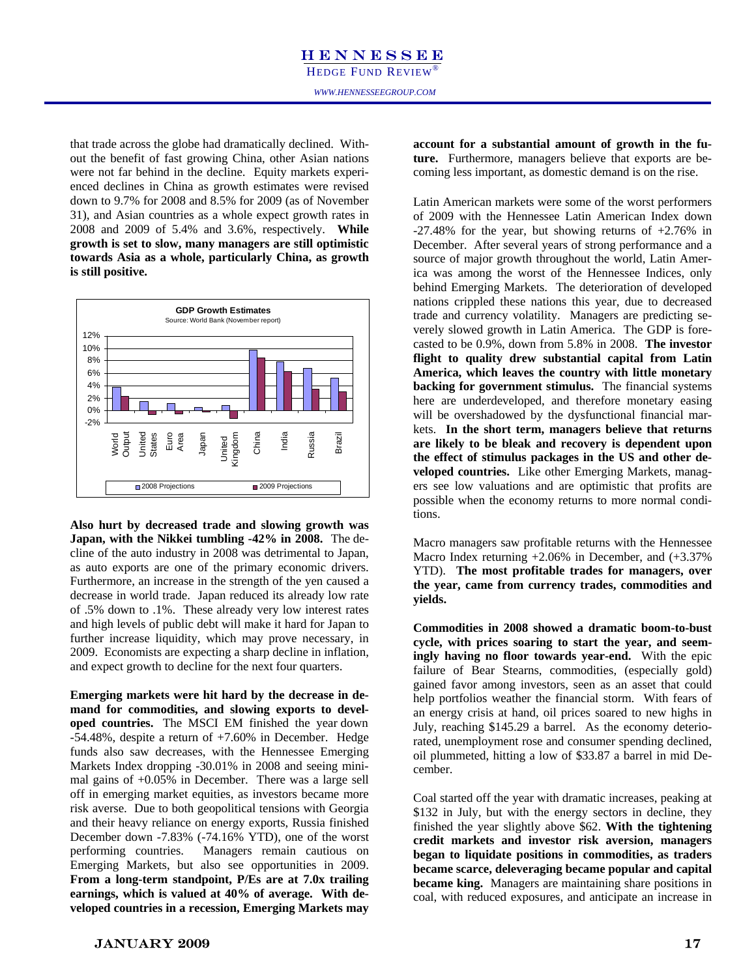that trade across the globe had dramatically declined. Without the benefit of fast growing China, other Asian nations were not far behind in the decline. Equity markets experienced declines in China as growth estimates were revised down to 9.7% for 2008 and 8.5% for 2009 (as of November 31), and Asian countries as a whole expect growth rates in 2008 and 2009 of 5.4% and 3.6%, respectively. **While growth is set to slow, many managers are still optimistic towards Asia as a whole, particularly China, as growth is still positive.** 



**Also hurt by decreased trade and slowing growth was Japan, with the Nikkei tumbling -42% in 2008.** The decline of the auto industry in 2008 was detrimental to Japan, as auto exports are one of the primary economic drivers. Furthermore, an increase in the strength of the yen caused a decrease in world trade. Japan reduced its already low rate of .5% down to .1%. These already very low interest rates and high levels of public debt will make it hard for Japan to further increase liquidity, which may prove necessary, in 2009. Economists are expecting a sharp decline in inflation, and expect growth to decline for the next four quarters.

**Emerging markets were hit hard by the decrease in demand for commodities, and slowing exports to developed countries.** The MSCI EM finished the year down -54.48%, despite a return of +7.60% in December. Hedge funds also saw decreases, with the Hennessee Emerging Markets Index dropping -30.01% in 2008 and seeing minimal gains of +0.05% in December. There was a large sell off in emerging market equities, as investors became more risk averse. Due to both geopolitical tensions with Georgia and their heavy reliance on energy exports, Russia finished December down -7.83% (-74.16% YTD), one of the worst performing countries. Managers remain cautious on Emerging Markets, but also see opportunities in 2009. **From a long-term standpoint, P/Es are at 7.0x trailing earnings, which is valued at 40% of average. With developed countries in a recession, Emerging Markets may** 

d dramatically declined. With-<br> **account for a substantial amount of growth in the fu-**<br> **account for a substantial amount of growth in the fu-**<br> **ture.** Furthermore, managers believe that exports are be**ture.** Furthermore, managers believe that exports are becoming less important, as domestic demand is on the rise.

> Latin American markets were some of the worst performers of 2009 with the Hennessee Latin American Index down  $-27.48\%$  for the year, but showing returns of  $+2.76\%$  in December. After several years of strong performance and a source of major growth throughout the world, Latin America was among the worst of the Hennessee Indices, only behind Emerging Markets. The deterioration of developed nations crippled these nations this year, due to decreased trade and currency volatility. Managers are predicting severely slowed growth in Latin America. The GDP is forecasted to be 0.9%, down from 5.8% in 2008. **The investor flight to quality drew substantial capital from Latin America, which leaves the country with little monetary backing for government stimulus.** The financial systems here are underdeveloped, and therefore monetary easing will be overshadowed by the dysfunctional financial markets. **In the short term, managers believe that returns are likely to be bleak and recovery is dependent upon the effect of stimulus packages in the US and other developed countries.** Like other Emerging Markets, managers see low valuations and are optimistic that profits are possible when the economy returns to more normal conditions.

> Macro managers saw profitable returns with the Hennessee Macro Index returning +2.06% in December, and (+3.37% YTD). **The most profitable trades for managers, over the year, came from currency trades, commodities and yields.**

> **Commodities in 2008 showed a dramatic boom-to-bust cycle, with prices soaring to start the year, and seemingly having no floor towards year-end.** With the epic failure of Bear Stearns, commodities, (especially gold) gained favor among investors, seen as an asset that could help portfolios weather the financial storm. With fears of an energy crisis at hand, oil prices soared to new highs in July, reaching \$145.29 a barrel. As the economy deteriorated, unemployment rose and consumer spending declined, oil plummeted, hitting a low of \$33.87 a barrel in mid December.

> Coal started off the year with dramatic increases, peaking at \$132 in July, but with the energy sectors in decline, they finished the year slightly above \$62. **With the tightening credit markets and investor risk aversion, managers began to liquidate positions in commodities, as traders became scarce, deleveraging became popular and capital became king.** Managers are maintaining share positions in coal, with reduced exposures, and anticipate an increase in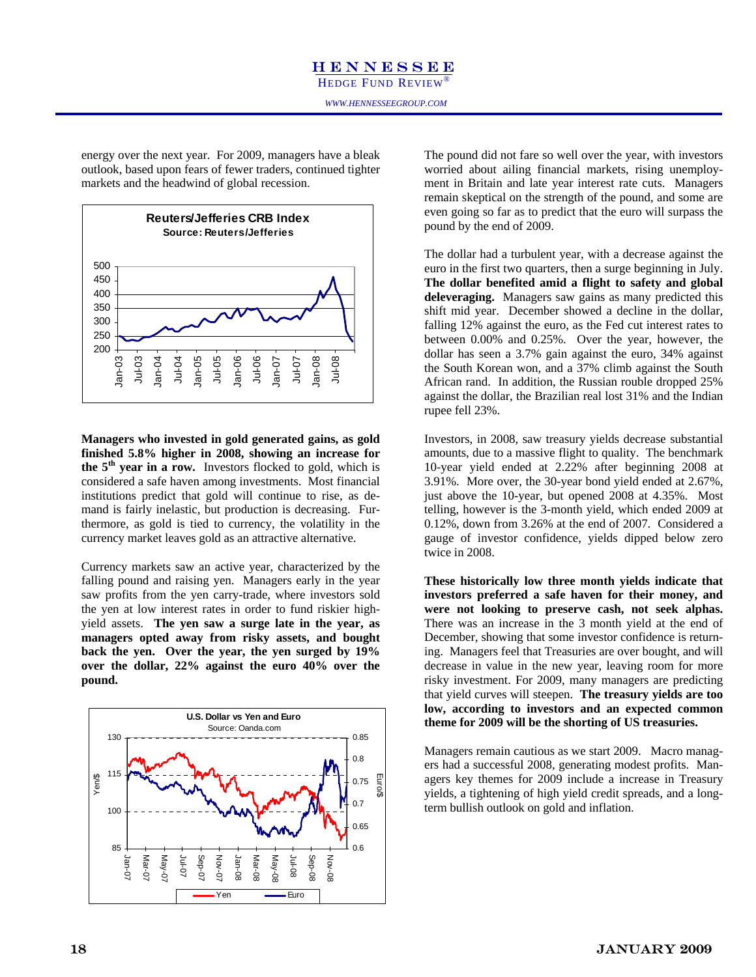energy over the next year. For 2009, managers have a bleak outlook, based upon fears of fewer traders, continued tighter markets and the headwind of global recession.



**Managers who invested in gold generated gains, as gold finished 5.8% higher in 2008, showing an increase for the 5th year in a row.** Investors flocked to gold, which is considered a safe haven among investments. Most financial institutions predict that gold will continue to rise, as demand is fairly inelastic, but production is decreasing. Furthermore, as gold is tied to currency, the volatility in the currency market leaves gold as an attractive alternative.

Currency markets saw an active year, characterized by the falling pound and raising yen. Managers early in the year saw profits from the yen carry-trade, where investors sold the yen at low interest rates in order to fund riskier highyield assets. **The yen saw a surge late in the year, as managers opted away from risky assets, and bought back the yen. Over the year, the yen surged by 19% over the dollar, 22% against the euro 40% over the pound.** 



The pound did not fare so well over the year, with investors worried about ailing financial markets, rising unemployment in Britain and late year interest rate cuts. Managers remain skeptical on the strength of the pound, and some are even going so far as to predict that the euro will surpass the pound by the end of 2009.

The dollar had a turbulent year, with a decrease against the euro in the first two quarters, then a surge beginning in July. **The dollar benefited amid a flight to safety and global deleveraging.** Managers saw gains as many predicted this shift mid year. December showed a decline in the dollar, falling 12% against the euro, as the Fed cut interest rates to between 0.00% and 0.25%. Over the year, however, the dollar has seen a 3.7% gain against the euro, 34% against the South Korean won, and a 37% climb against the South African rand. In addition, the Russian rouble dropped 25% against the dollar, the Brazilian real lost 31% and the Indian rupee fell 23%.

Investors, in 2008, saw treasury yields decrease substantial amounts, due to a massive flight to quality. The benchmark 10-year yield ended at 2.22% after beginning 2008 at 3.91%. More over, the 30-year bond yield ended at 2.67%, just above the 10-year, but opened 2008 at 4.35%. Most telling, however is the 3-month yield, which ended 2009 at 0.12%, down from 3.26% at the end of 2007. Considered a gauge of investor confidence, yields dipped below zero twice in 2008.

**These historically low three month yields indicate that investors preferred a safe haven for their money, and were not looking to preserve cash, not seek alphas.** There was an increase in the 3 month yield at the end of December, showing that some investor confidence is returning. Managers feel that Treasuries are over bought, and will decrease in value in the new year, leaving room for more risky investment. For 2009, many managers are predicting that yield curves will steepen. **The treasury yields are too low, according to investors and an expected common theme for 2009 will be the shorting of US treasuries.** 

Managers remain cautious as we start 2009. Macro managers had a successful 2008, generating modest profits. Managers key themes for 2009 include a increase in Treasury yields, a tightening of high yield credit spreads, and a longterm bullish outlook on gold and inflation.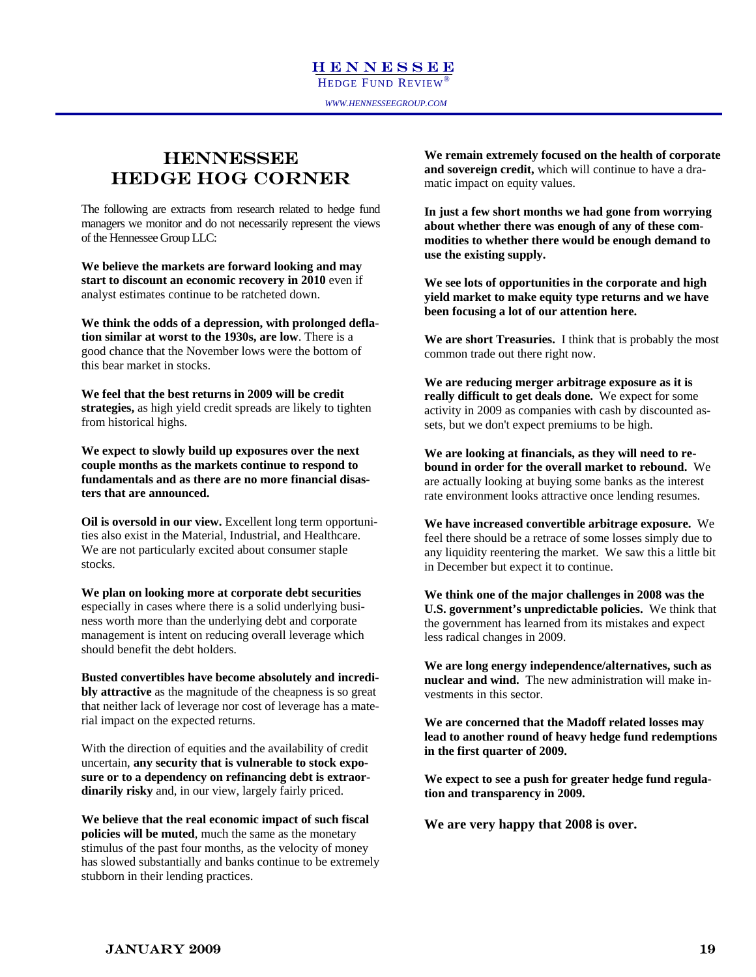### in Hedge Fund Investing **HENNESSEE** HEDGE HOG CORNER

The following are extracts from research related to hedge fund managers we monitor and do not necessarily represent the views of the Hennessee Group LLC:

**We believe the markets are forward looking and may start to discount an economic recovery in 2010** even if analyst estimates continue to be ratcheted down.

**We think the odds of a depression, with prolonged deflation similar at worst to the 1930s, are low**. There is a good chance that the November lows were the bottom of this bear market in stocks.

**We feel that the best returns in 2009 will be credit strategies,** as high yield credit spreads are likely to tighten from historical highs.

**We expect to slowly build up exposures over the next couple months as the markets continue to respond to fundamentals and as there are no more financial disasters that are announced.** 

**Oil is oversold in our view.** Excellent long term opportunities also exist in the Material, Industrial, and Healthcare. We are not particularly excited about consumer staple stocks.

**We plan on looking more at corporate debt securities**  especially in cases where there is a solid underlying business worth more than the underlying debt and corporate management is intent on reducing overall leverage which should benefit the debt holders.

**Busted convertibles have become absolutely and incredibly attractive** as the magnitude of the cheapness is so great that neither lack of leverage nor cost of leverage has a material impact on the expected returns.

With the direction of equities and the availability of credit uncertain, **any security that is vulnerable to stock exposure or to a dependency on refinancing debt is extraordinarily risky** and, in our view, largely fairly priced.

**We believe that the real economic impact of such fiscal policies will be muted**, much the same as the monetary stimulus of the past four months, as the velocity of money has slowed substantially and banks continue to be extremely stubborn in their lending practices.

**NESSEE** We remain extremely focused on the health of corporate **NESSEE and sovereign credit,** which will continue to have a dramatic impact on equity values.

> **In just a few short months we had gone from worrying about whether there was enough of any of these commodities to whether there would be enough demand to use the existing supply.**

**We see lots of opportunities in the corporate and high yield market to make equity type returns and we have been focusing a lot of our attention here.** 

**We are short Treasuries.** I think that is probably the most common trade out there right now.

**We are reducing merger arbitrage exposure as it is really difficult to get deals done.** We expect for some activity in 2009 as companies with cash by discounted assets, but we don't expect premiums to be high.

**We are looking at financials, as they will need to rebound in order for the overall market to rebound.** We are actually looking at buying some banks as the interest rate environment looks attractive once lending resumes.

**We have increased convertible arbitrage exposure.** We feel there should be a retrace of some losses simply due to any liquidity reentering the market. We saw this a little bit in December but expect it to continue.

**We think one of the major challenges in 2008 was the U.S. government's unpredictable policies.** We think that the government has learned from its mistakes and expect less radical changes in 2009.

**We are long energy independence/alternatives, such as nuclear and wind.** The new administration will make investments in this sector.

**We are concerned that the Madoff related losses may lead to another round of heavy hedge fund redemptions in the first quarter of 2009.** 

**We expect to see a push for greater hedge fund regulation and transparency in 2009.** 

**We are very happy that 2008 is over.** 

### January 2009 19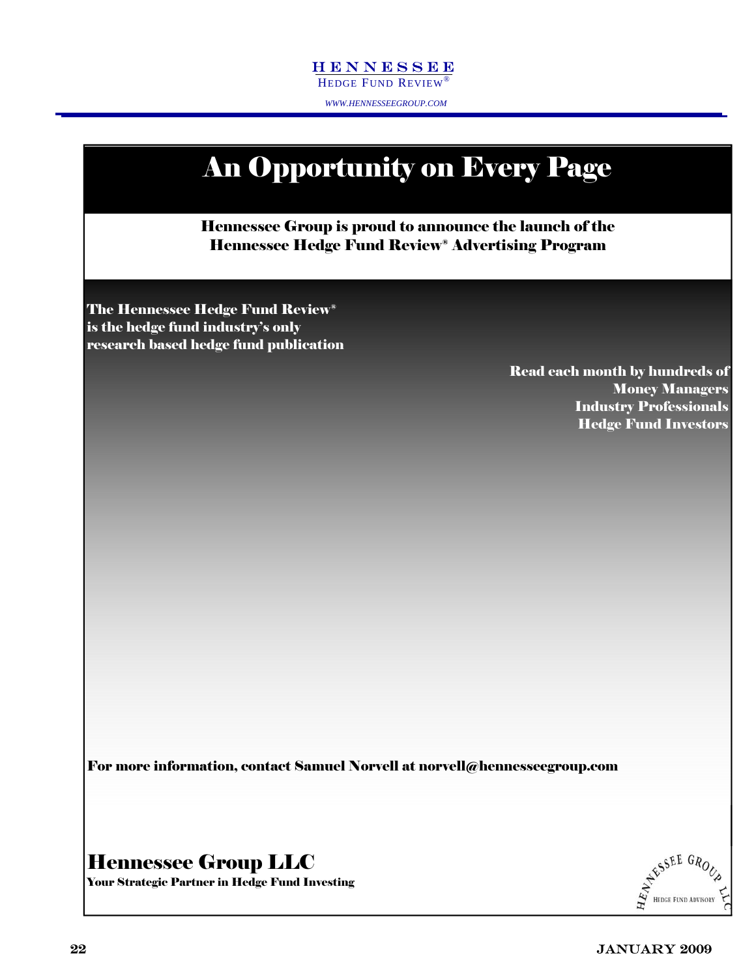*WWW.HENNESSEEGROUP.COM* 



For more information, contact Samuel Norvell at norvell@hennesseegroup.com

Hennessee Group LLC

AFSSEE GROUP

Your Strategic Partner in Hedge Fund Investing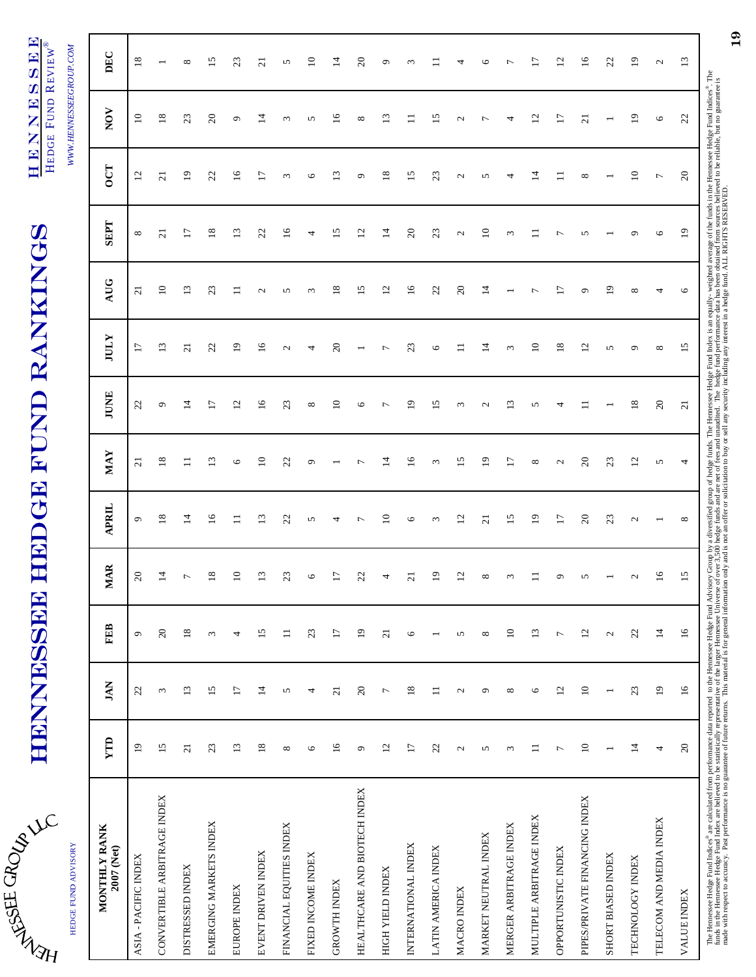| ۲ |                     |
|---|---------------------|
| d | HEDGE FUND ADVISORY |
|   |                     |

# **HENNESSEE HEDGE FUND RANKINGS** HENNESSEE HEDGE FUND RANKINGS

HENNESSEE HENNESSEE HEDGE FUND REVIEW® HEDGE FUND REVIEW®

*WWW.HENNESSEEGROUP.COM* 

| HEDGE FUND ADVISORY           |                 |                 |                   |                 |                 |                         |                 |                          |                 |                     |                 | WWW.HENNESSEEGROUP.COM |                 |
|-------------------------------|-----------------|-----------------|-------------------|-----------------|-----------------|-------------------------|-----------------|--------------------------|-----------------|---------------------|-----------------|------------------------|-----------------|
| MONTHLY RANK<br>2007 (Net)    | YTD             | <b>JAN</b>      | <b>FEB</b>        | <b>MAR</b>      | APRIL           | <b>MAY</b>              | JUNE            | <b>IULY</b>              | AUG             | <b>SEPT</b>         | <b>OCT</b>      | NOV                    | DEC             |
| ASIA - PACIFIC INDEX          | $\overline{19}$ | 22              | $\mathbf{\sigma}$ | $20\,$          | $\circ$         | $\overline{\mathbf{c}}$ | 22              | 17                       | $\overline{c}$  | $\infty$            | $\overline{c}$  | $10$                   | $\overline{18}$ |
| CONVERTIBLE ARBITRAGE INDEX   | 15              | 3               | $20\,$            | $\vec{a}$       | $\infty$        | $\overline{18}$         | $\circ$         | $\mathbf{L}$             | $\overline{10}$ | $\overline{\Omega}$ | $\overline{c}$  | 18                     |                 |
| <b>DISTRESSED INDEX</b>       | $\overline{c}$  | 13              | $18\,$            | $\overline{ }$  | $\overline{1}$  | 〓                       | $\overline{1}$  | $\overline{21}$          | $\mathbf{13}$   | $\overline{17}$     | $\overline{1}$  | 23                     | ${}^{\circ}$    |
| EMERGING MARKETS INDEX        | 23              | 15              | $\omega$          | $\frac{8}{18}$  | 16              | $\mathbf{r}$            | $\overline{17}$ | 22                       | 23              | 18                  | 22              | $\overline{c}$         | 15              |
| EUROPE INDEX                  | 13              | $\overline{17}$ | 4                 | $\Xi$           | $\Box$          | $\circ$                 | $\overline{c}$  | $\overline{19}$          | $\Xi$           | $\overline{13}$     | $\overline{16}$ | $\sigma$               | 23              |
| EVENT DRIVEN INDEX            | $18\,$          | $14$            | 15                | $\mathbf{r}$    | 13              | $\overline{10}$         | 16              | 16                       | $\mathbf{C}$    | 22                  | $\overline{17}$ | 그                      | $\overline{c}$  |
| FINANCIAL EQUITIES INDEX      | ${}^{\circ}$    | 5               | $\equiv$          | 23              | 22              | $\mathfrak{L}$          | 23              | $\mathcal{L}$            | S               | $\frac{6}{2}$       | $\omega$        | $\omega$               | 5               |
| FIXED INCOME INDEX            | $\circ$         | 4               | 23                | $\circ$         | 5               | $\circ$                 | $\infty$        | 4                        | $\omega$        | 4                   | $\circ$         | 5                      | $\approx$       |
| <b>GROWTH INDEX</b>           | $\overline{16}$ | $\overline{c}$  | $\overline{17}$   | $\overline{17}$ | 4               |                         | $10$            | $\overline{c}$           | 18              | 15                  | 13              | 16                     | $\overline{4}$  |
| HEALTHCARE AND BIOTECH INDEX  | G               | $20\,$          | $\overline{19}$   | 22              | $\overline{ }$  | $\overline{ }$          | $\circ$         | $\overline{\phantom{0}}$ | 15              | 12                  | $\circ$         | $\infty$               | $\approx$       |
| HIGH YIELD INDEX              | 12              | $\overline{ }$  | $\overline{21}$   | 4               | $\overline{10}$ | $\overline{4}$          | $\overline{ }$  | $\overline{ }$           | 12              | $\vec{a}$           | 18              | $\mathbf{r}$           | $\sigma$        |
| INTERNATIONAL INDEX           | 17              | 18              | $\circ$           | $\overline{c}$  | $\circ$         | $\overline{16}$         | $\overline{19}$ | 23                       | 16              | $\overline{c}$      | 15              | $\Xi$                  | $\epsilon$      |
| LATIN AMERICA INDEX           | 22              | $\equiv$        |                   | $\overline{19}$ | $\epsilon$      | $\epsilon$              | 15              | $\circ$                  | 22              | 23                  | 23              | $\overline{15}$        |                 |
| MACRO INDEX                   | $\mathbf{C}$    | $\mathcal{L}$   | 5                 | $^{12}$         | $\overline{2}$  | 15                      | $\omega$        | $\Box$                   | $\overline{c}$  | $\mathcal{L}$       | $\mathcal{L}$   | $\mathcal{L}$          | 4               |
| MARKET NEUTRAL INDEX          | 5               | ٥               | $\infty$          | $^{\circ}$      | $\overline{c}$  | $\overline{9}$          | $\sim$          | $\overline{4}$           | $\overline{1}$  | $\overline{10}$     | S               | $\overline{ }$         | $\circ$         |
| MERGER ARBITRAGE INDEX        | 3               | $\infty$        | $\overline{10}$   | $\epsilon$      | 15              | $\overline{17}$         | $\overline{13}$ | $\omega$                 |                 | $\epsilon$          | 4               | 4                      | $\overline{ }$  |
| MULTIPLE ARBITRAGE INDEX      | $\equiv$        | $\circ$         | 13                | Ξ               | $\overline{19}$ | ${}^{\circ}$            | 5               | $\overline{10}$          | $\overline{ }$  | $\Xi$               | $\vec{a}$       | 12                     | $\overline{17}$ |
| OPPORTUNISTIC INDEX           | Γ               | 12              | $\overline{ }$    | $\circ$         | 17              | $\mathcal{L}$           | 4               | $18\,$                   | $\overline{17}$ | $\overline{ }$      | $\Xi$           | $\overline{17}$        | $\overline{c}$  |
| PIPES/PRIVATE FINANCING INDEX | $\equiv$        | $10$            | 12                | S               | $\overline{c}$  | $\infty$                | $\equiv$        | $\overline{c}$           | $\circ$         | 5                   | $^{\circ}$      | $\overline{c}$         | 16              |
| SHORT BIASED INDEX            |                 |                 | $\mathbf{C}$      |                 | 23              | 23                      |                 | $\sigma$                 | $\overline{9}$  |                     |                 |                        | $\mathfrak{L}$  |
| TECHNOLOGY INDEX              | $\overline{14}$ | 23              | $\overline{2}$    | $\mathcal{L}$   | $\mathcal{L}$   | $\overline{c}$          | $18\,$          | $\circ$                  | $\infty$        | ๑                   | $\overline{10}$ | 19                     | $\overline{5}$  |
| TELECOM AND MEDIA INDEX       | 4               | $\overline{19}$ | $14$              | $\overline{16}$ |                 | 5                       | $20$            | ${}^{\circ}$             | ᆉ               | $\circ$             | $\overline{ }$  | $\circ$                | $\mathbf{C}$    |
| <b>VALUE INDEX</b>            | $20\,$          | $\frac{6}{1}$   | $\frac{6}{1}$     | 15              | ${}^{\circ}$    | 4                       | $\overline{c}$  | 15                       | $\circ$         | $\overline{19}$     | $\mathfrak{S}$  | 22                     | 13              |
|                               |                 |                 |                   |                 |                 |                         |                 |                          |                 |                     |                 |                        |                 |

The Hennessee Hedge-Fund Indices® are calculated from performance data reported to the Hendge Advisory Group by a diversified group of hedge funds. The Hennessee Hedge Fund Index is an equally- weighted average of the fund funds in the Hennessee Hedge Fund Index are believed to be statistically representative of the larger Hennessee Universe of over 3,500 hedge funds and are net of the sand unaudited. The hedge fund performance data has been made with respect to accuracy. Past performance is no guarantee of future returns. This material is for general information only and is not an offer or solicitation to buy or sell any security including any interest in a h

19